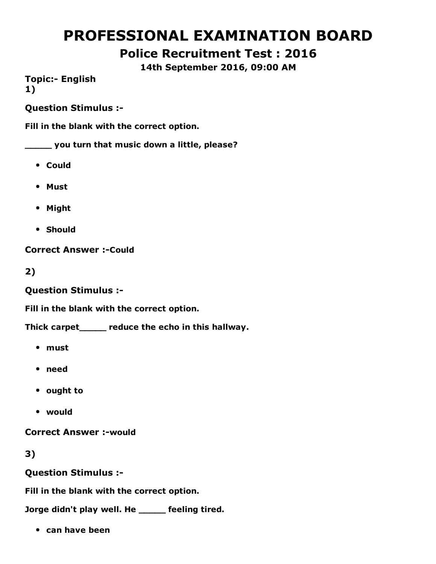# PROFESSIONAL EXAMINATION BOARD

# Police Recruitment Test : 2016

14th September 2016, 09:00 AM

**Topic:- English** 1)

Question Stimulus :

Fill in the blank with the correct option.

\_\_\_\_\_ you turn that music down a little, please?

- Could
- Must
- Might
- Should

**Correct Answer :- Could** 

2)

Question Stimulus :

Fill in the blank with the correct option.

Thick carpet\_\_\_\_\_ reduce the echo in this hallway.

- must
- need
- ought to
- would

**Correct Answer :-would** 

3)

Question Stimulus :

Fill in the blank with the correct option.

Jorge didn't play well. He \_\_\_\_\_ feeling tired.

• can have been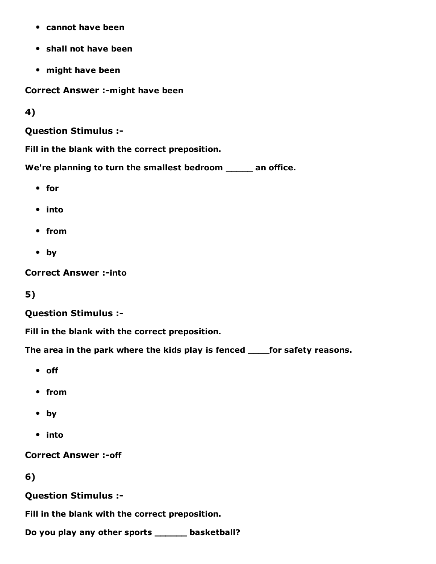- cannot have been
- shall not have been
- might have been

Correct Answer :- might have been

4)

Question Stimulus :

Fill in the blank with the correct preposition.

We're planning to turn the smallest bedroom \_\_\_\_\_ an office.

- for
- into
- from
- by

**Correct Answer :- into** 

5)

#### Question Stimulus :

Fill in the blank with the correct preposition.

The area in the park where the kids play is fenced \_\_\_\_for safety reasons.

- off
- from
- by
- into

**Correct Answer :- off** 

6)

Question Stimulus :

Fill in the blank with the correct preposition.

Do you play any other sports \_\_\_\_\_\_ basketball?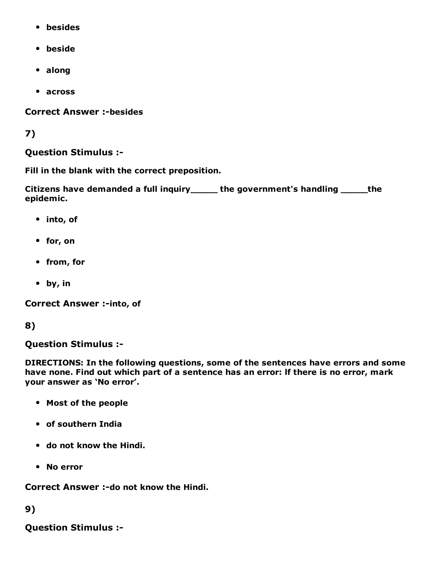- besides
- beside
- along
- across

**Correct Answer :-besides** 

#### 7)

#### Question Stimulus :

Fill in the blank with the correct preposition.

Citizens have demanded a full inquiry\_\_\_\_\_ the government's handling \_\_\_\_\_the epidemic.

- into, of
- for, on
- from, for
- by, in

Correct Answer :- into, of

#### 8)

Question Stimulus :

DIRECTIONS: In the following questions, some of the sentences have errors and some have none. Find out which part of a sentence has an error: lf there is no error, mark your answer as 'No error'.

- Most of the people
- of southern India
- do not know the Hindi.
- No error

Correct Answer :-do not know the Hindi.

#### 9)

Question Stimulus :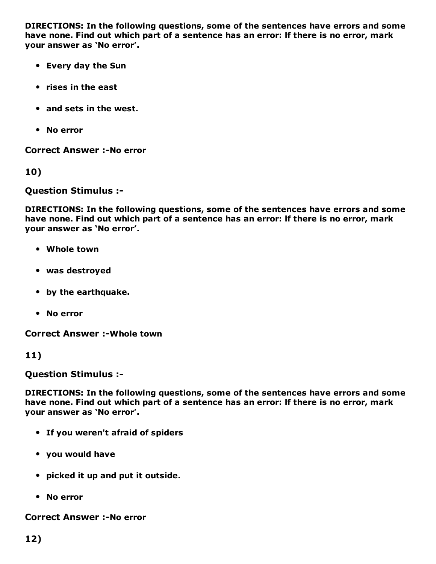DIRECTIONS: In the following questions, some of the sentences have errors and some have none. Find out which part of a sentence has an error: lf there is no error, mark your answer as 'No error'.

- Every day the Sun
- rises in the east
- and sets in the west.
- No error

**Correct Answer :-No error** 

10)

Question Stimulus :

DIRECTIONS: In the following questions, some of the sentences have errors and some have none. Find out which part of a sentence has an error: lf there is no error, mark your answer as 'No error'.

- Whole town
- was destroyed
- by the earthquake.
- No error

**Correct Answer :- Whole town** 

11)

Question Stimulus :

DIRECTIONS: In the following questions, some of the sentences have errors and some have none. Find out which part of a sentence has an error: lf there is no error, mark your answer as 'No error'.

- If you weren't afraid of spiders
- you would have
- picked it up and put it outside.
- No error

**Correct Answer :-No error**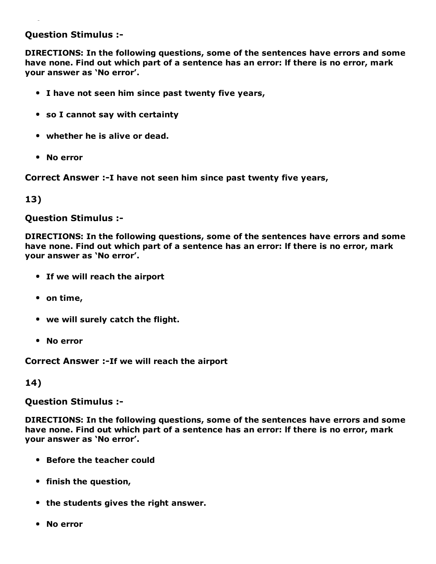#### Question Stimulus :

DIRECTIONS: In the following questions, some of the sentences have errors and some have none. Find out which part of a sentence has an error: lf there is no error, mark your answer as 'No error'.

- I have not seen him since past twenty five years,
- so I cannot say with certainty
- whether he is alive or dead.
- No error

Correct Answer :-I have not seen him since past twenty five years,

#### 13)

Question Stimulus :

DIRECTIONS: In the following questions, some of the sentences have errors and some have none. Find out which part of a sentence has an error: lf there is no error, mark your answer as 'No error'.

- If we will reach the airport
- on time,
- we will surely catch the flight.
- No error

Correct Answer :-If we will reach the airport

14)

Question Stimulus :

DIRECTIONS: In the following questions, some of the sentences have errors and some have none. Find out which part of a sentence has an error: lf there is no error, mark your answer as 'No error'.

- Before the teacher could
- finish the question,
- the students gives the right answer.
- No error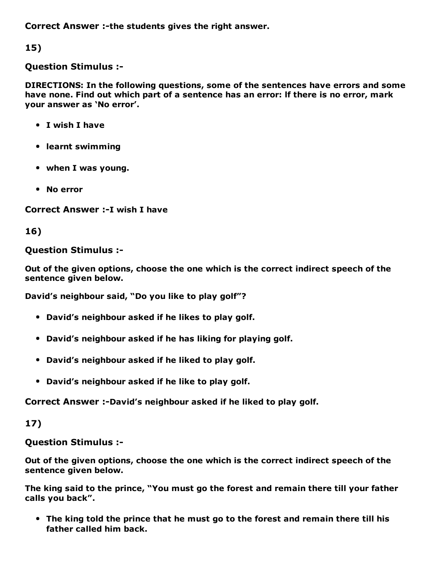Correct Answer :-the students gives the right answer.

15)

#### Question Stimulus :

DIRECTIONS: In the following questions, some of the sentences have errors and some have none. Find out which part of a sentence has an error: lf there is no error, mark your answer as 'No error'.

- I wish I have
- learnt swimming
- when I was young.
- No error

Correct Answer :- I wish I have

16)

#### Question Stimulus :

Out of the given options, choose the one which is the correct indirect speech of the sentence given below.

David's neighbour said, "Do you like to play golf"?

- David's neighbour asked if he likes to play golf.
- David's neighbour asked if he has liking for playing golf.
- David's neighbour asked if he liked to play golf.
- David's neighbour asked if he like to play golf.

Correct Answer :-David's neighbour asked if he liked to play golf.

17)

Question Stimulus :

Out of the given options, choose the one which is the correct indirect speech of the sentence given below.

The king said to the prince, "You must go the forest and remain there till your father calls you back".

The king told the prince that he must go to the forest and remain there till his father called him back.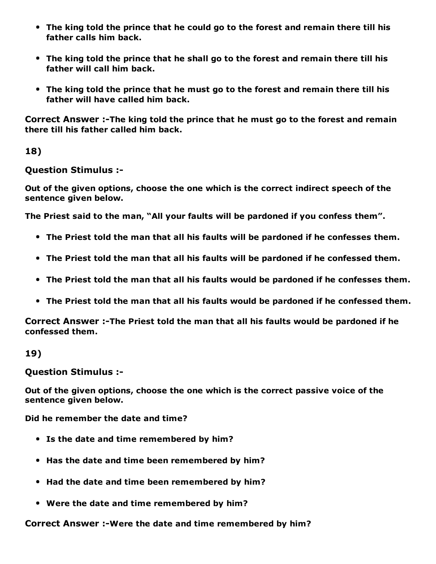- The king told the prince that he could go to the forest and remain there till his father calls him back.
- The king told the prince that he shall go to the forest and remain there till his father will call him back.
- The king told the prince that he must go to the forest and remain there till his father will have called him back.

Correct Answer :-The king told the prince that he must go to the forest and remain there till his father called him back.

18)

Question Stimulus :

Out of the given options, choose the one which is the correct indirect speech of the sentence given below.

The Priest said to the man, "All your faults will be pardoned if you confess them".

- The Priest told the man that all his faults will be pardoned if he confesses them.
- The Priest told the man that all his faults will be pardoned if he confessed them.
- The Priest told the man that all his faults would be pardoned if he confesses them.
- The Priest told the man that all his faults would be pardoned if he confessed them.

Correct Answer :-The Priest told the man that all his faults would be pardoned if he confessed them.

19)

Question Stimulus :

Out of the given options, choose the one which is the correct passive voice of the sentence given below.

Did he remember the date and time?

- Is the date and time remembered by him?
- Has the date and time been remembered by him?
- Had the date and time been remembered by him?
- Were the date and time remembered by him?

Correct Answer :-Were the date and time remembered by him?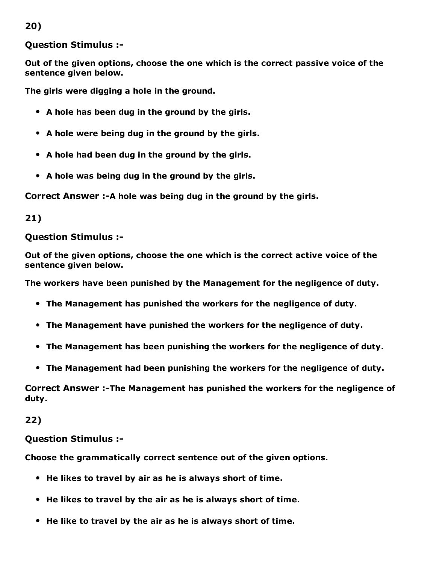20)

Question Stimulus :

Out of the given options, choose the one which is the correct passive voice of the sentence given below.

The girls were digging a hole in the ground.

- A hole has been dug in the ground by the girls.
- A hole were being dug in the ground by the girls.
- A hole had been dug in the ground by the girls.
- A hole was being dug in the ground by the girls.

Correct Answer :-A hole was being dug in the ground by the girls.

21)

#### Question Stimulus :

Out of the given options, choose the one which is the correct active voice of the sentence given below.

The workers have been punished by the Management for the negligence of duty.

- The Management has punished the workers for the negligence of duty.
- The Management have punished the workers for the negligence of duty.
- The Management has been punishing the workers for the negligence of duty.
- The Management had been punishing the workers for the negligence of duty.

Correct Answer :-The Management has punished the workers for the negligence of duty.

22)

#### Question Stimulus :

Choose the grammatically correct sentence out of the given options.

- He likes to travel by air as he is always short of time.
- He likes to travel by the air as he is always short of time.
- He like to travel by the air as he is always short of time.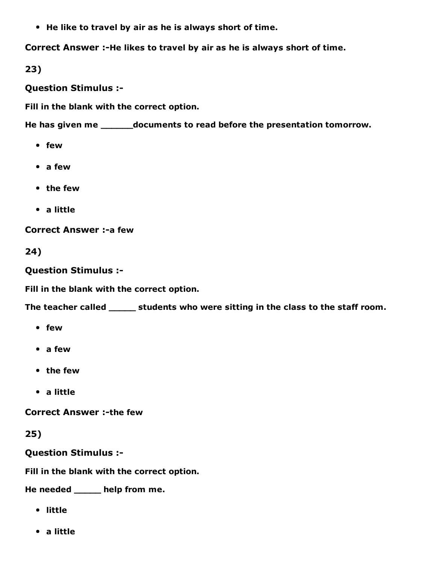He like to travel by air as he is always short of time.

Correct Answer :-He likes to travel by air as he is always short of time.

23)

Question Stimulus :

Fill in the blank with the correct option.

He has given me \_\_\_\_\_\_documents to read before the presentation tomorrow.

- few
- a few
- the few
- a little

**Correct Answer :- a few** 

24)

Question Stimulus :

Fill in the blank with the correct option.

The teacher called \_\_\_\_\_\_ students who were sitting in the class to the staff room.

- few
- a few
- the few
- a little

**Correct Answer :- the few** 

25)

Question Stimulus :

Fill in the blank with the correct option.

He needed \_\_\_\_\_ help from me.

- little
- a little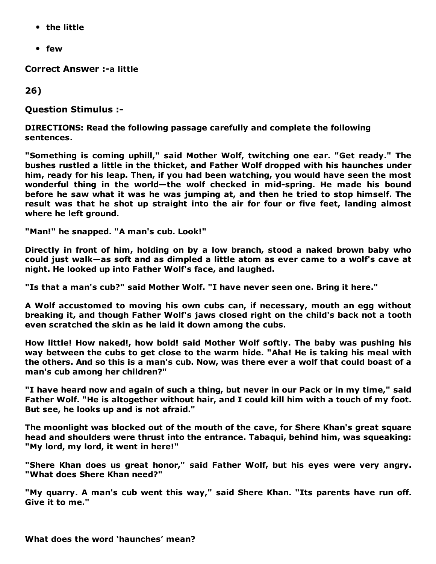- the little
- few

Correct Answer :- a little

26)

Question Stimulus :

DIRECTIONS: Read the following passage carefully and complete the following sentences.

"Something is coming uphill," said Mother Wolf, twitching one ear. "Get ready." The bushes rustled a little in the thicket, and Father Wolf dropped with his haunches under him, ready for his leap. Then, if you had been watching, you would have seen the most wonderful thing in the world-the wolf checked in mid-spring. He made his bound before he saw what it was he was jumping at, and then he tried to stop himself. The result was that he shot up straight into the air for four or five feet, landing almost where he left ground.

"Man!" he snapped. "A man's cub. Look!"

Directly in front of him, holding on by a low branch, stood a naked brown baby who could just walk—as soft and as dimpled a little atom as ever came to a wolf's cave at night. He looked up into Father Wolf's face, and laughed.

"Is that a man's cub?" said Mother Wolf. "I have never seen one. Bring it here."

A Wolf accustomed to moving his own cubs can, if necessary, mouth an egg without breaking it, and though Father Wolf's jaws closed right on the child's back not a tooth even scratched the skin as he laid it down among the cubs.

How little! How naked!, how bold! said Mother Wolf softly. The baby was pushing his way between the cubs to get close to the warm hide. "Aha! He is taking his meal with the others. And so this is a man's cub. Now, was there ever a wolf that could boast of a man's cub among her children?"

"I have heard now and again of such a thing, but never in our Pack or in my time," said Father Wolf. "He is altogether without hair, and I could kill him with a touch of my foot. But see, he looks up and is not afraid."

The moonlight was blocked out of the mouth of the cave, for Shere Khan's great square head and shoulders were thrust into the entrance. Tabaqui, behind him, was squeaking: "My lord, my lord, it went in here!"

"Shere Khan does us great honor," said Father Wolf, but his eyes were very angry. "What does Shere Khan need?"

"My quarry. A man's cub went this way," said Shere Khan. "Its parents have run off. Give it to me."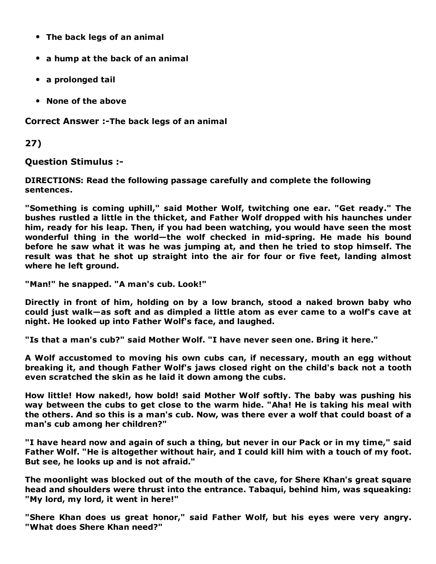- The back legs of an animal
- a hump at the back of an animal
- a prolonged tail
- None of the above

Correct Answer :-The back legs of an animal

27)

Question Stimulus :

DIRECTIONS: Read the following passage carefully and complete the following sentences.

"Something is coming uphill," said Mother Wolf, twitching one ear. "Get ready." The bushes rustled a little in the thicket, and Father Wolf dropped with his haunches under him, ready for his leap. Then, if you had been watching, you would have seen the most wonderful thing in the world-the wolf checked in mid-spring. He made his bound before he saw what it was he was jumping at, and then he tried to stop himself. The result was that he shot up straight into the air for four or five feet, landing almost where he left ground.

"Man!" he snapped. "A man's cub. Look!"

Directly in front of him, holding on by a low branch, stood a naked brown baby who could just walk—as soft and as dimpled a little atom as ever came to a wolf's cave at night. He looked up into Father Wolf's face, and laughed.

"Is that a man's cub?" said Mother Wolf. "I have never seen one. Bring it here."

A Wolf accustomed to moving his own cubs can, if necessary, mouth an egg without breaking it, and though Father Wolf's jaws closed right on the child's back not a tooth even scratched the skin as he laid it down among the cubs.

How little! How naked!, how bold! said Mother Wolf softly. The baby was pushing his way between the cubs to get close to the warm hide. "Aha! He is taking his meal with the others. And so this is a man's cub. Now, was there ever a wolf that could boast of a man's cub among her children?"

"I have heard now and again of such a thing, but never in our Pack or in my time," said Father Wolf. "He is altogether without hair, and I could kill him with a touch of my foot. But see, he looks up and is not afraid."

The moonlight was blocked out of the mouth of the cave, for Shere Khan's great square head and shoulders were thrust into the entrance. Tabaqui, behind him, was squeaking: "My lord, my lord, it went in here!"

"Shere Khan does us great honor," said Father Wolf, but his eyes were very angry. "What does Shere Khan need?"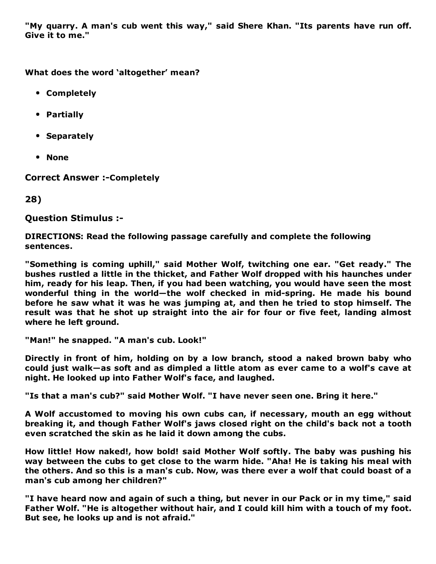"My quarry. A man's cub went this way," said Shere Khan. "Its parents have run off. Give it to me."

What does the word 'altogether' mean?

- Completely
- Partially
- Separately
- None

**Correct Answer :- Completely** 

28)

Question Stimulus :

DIRECTIONS: Read the following passage carefully and complete the following sentences.

"Something is coming uphill," said Mother Wolf, twitching one ear. "Get ready." The bushes rustled a little in the thicket, and Father Wolf dropped with his haunches under him, ready for his leap. Then, if you had been watching, you would have seen the most wonderful thing in the world-the wolf checked in mid-spring. He made his bound before he saw what it was he was jumping at, and then he tried to stop himself. The result was that he shot up straight into the air for four or five feet, landing almost where he left ground.

"Man!" he snapped. "A man's cub. Look!"

Directly in front of him, holding on by a low branch, stood a naked brown baby who could just walk—as soft and as dimpled a little atom as ever came to a wolf's cave at night. He looked up into Father Wolf's face, and laughed.

"Is that a man's cub?" said Mother Wolf. "I have never seen one. Bring it here."

A Wolf accustomed to moving his own cubs can, if necessary, mouth an egg without breaking it, and though Father Wolf's jaws closed right on the child's back not a tooth even scratched the skin as he laid it down among the cubs.

How little! How naked!, how bold! said Mother Wolf softly. The baby was pushing his way between the cubs to get close to the warm hide. "Aha! He is taking his meal with the others. And so this is a man's cub. Now, was there ever a wolf that could boast of a man's cub among her children?"

"I have heard now and again of such a thing, but never in our Pack or in my time," said Father Wolf. "He is altogether without hair, and I could kill him with a touch of my foot. But see, he looks up and is not afraid."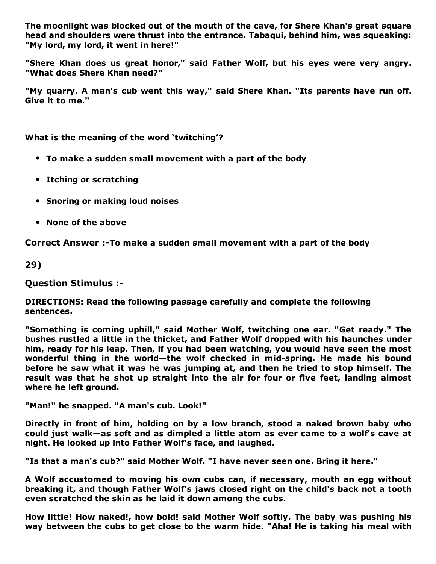The moonlight was blocked out of the mouth of the cave, for Shere Khan's great square head and shoulders were thrust into the entrance. Tabaqui, behind him, was squeaking: "My lord, my lord, it went in here!"

"Shere Khan does us great honor," said Father Wolf, but his eyes were very angry. "What does Shere Khan need?"

"My quarry. A man's cub went this way," said Shere Khan. "Its parents have run off. Give it to me."

What is the meaning of the word 'twitching'?

- To make a sudden small movement with a part of the body
- Itching or scratching
- Snoring or making loud noises
- None of the above

Correct Answer :- To make a sudden small movement with a part of the body

29)

Question Stimulus :

DIRECTIONS: Read the following passage carefully and complete the following sentences.

"Something is coming uphill," said Mother Wolf, twitching one ear. "Get ready." The bushes rustled a little in the thicket, and Father Wolf dropped with his haunches under him, ready for his leap. Then, if you had been watching, you would have seen the most wonderful thing in the world-the wolf checked in mid-spring. He made his bound before he saw what it was he was jumping at, and then he tried to stop himself. The result was that he shot up straight into the air for four or five feet, landing almost where he left ground.

"Man!" he snapped. "A man's cub. Look!"

Directly in front of him, holding on by a low branch, stood a naked brown baby who could just walk—as soft and as dimpled a little atom as ever came to a wolf's cave at night. He looked up into Father Wolf's face, and laughed.

"Is that a man's cub?" said Mother Wolf. "I have never seen one. Bring it here."

A Wolf accustomed to moving his own cubs can, if necessary, mouth an egg without breaking it, and though Father Wolf's jaws closed right on the child's back not a tooth even scratched the skin as he laid it down among the cubs.

How little! How naked!, how bold! said Mother Wolf softly. The baby was pushing his way between the cubs to get close to the warm hide. "Aha! He is taking his meal with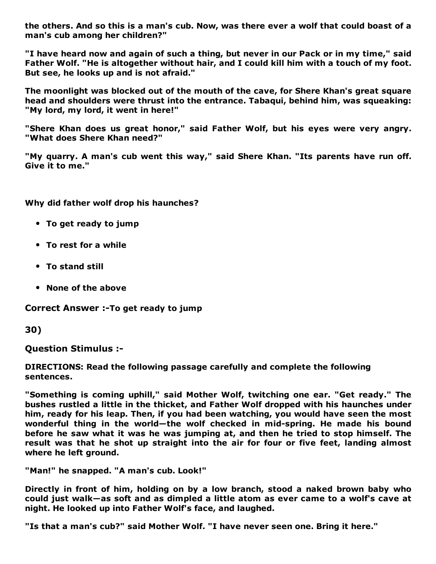the others. And so this is a man's cub. Now, was there ever a wolf that could boast of a man's cub among her children?"

"I have heard now and again of such a thing, but never in our Pack or in my time," said Father Wolf. "He is altogether without hair, and I could kill him with a touch of my foot. But see, he looks up and is not afraid."

The moonlight was blocked out of the mouth of the cave, for Shere Khan's great square head and shoulders were thrust into the entrance. Tabaqui, behind him, was squeaking: "My lord, my lord, it went in here!"

"Shere Khan does us great honor," said Father Wolf, but his eyes were very angry. "What does Shere Khan need?"

"My quarry. A man's cub went this way," said Shere Khan. "Its parents have run off. Give it to me."

Why did father wolf drop his haunches?

- To get ready to jump
- To rest for a while
- To stand still
- None of the above

Correct Answer :-To get ready to jump

30)

Question Stimulus :

DIRECTIONS: Read the following passage carefully and complete the following sentences.

"Something is coming uphill," said Mother Wolf, twitching one ear. "Get ready." The bushes rustled a little in the thicket, and Father Wolf dropped with his haunches under him, ready for his leap. Then, if you had been watching, you would have seen the most wonderful thing in the world-the wolf checked in mid-spring. He made his bound before he saw what it was he was jumping at, and then he tried to stop himself. The result was that he shot up straight into the air for four or five feet, landing almost where he left ground.

"Man!" he snapped. "A man's cub. Look!"

Directly in front of him, holding on by a low branch, stood a naked brown baby who could just walk—as soft and as dimpled a little atom as ever came to a wolf's cave at night. He looked up into Father Wolf's face, and laughed.

"Is that a man's cub?" said Mother Wolf. "I have never seen one. Bring it here."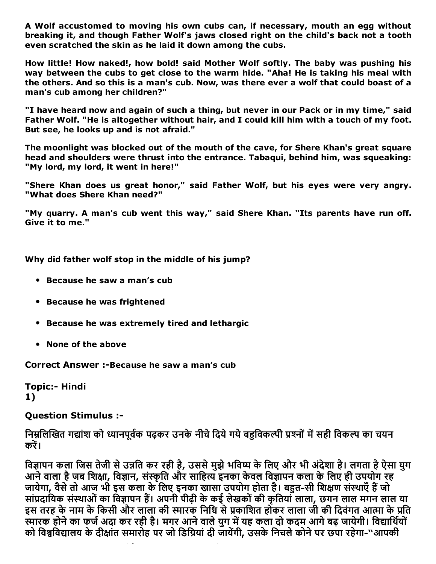A Wolf accustomed to moving his own cubs can, if necessary, mouth an egg without breaking it, and though Father Wolf's jaws closed right on the child's back not a tooth even scratched the skin as he laid it down among the cubs.

How little! How naked!, how bold! said Mother Wolf softly. The baby was pushing his way between the cubs to get close to the warm hide. "Aha! He is taking his meal with the others. And so this is a man's cub. Now, was there ever a wolf that could boast of a man's cub among her children?"

"I have heard now and again of such a thing, but never in our Pack or in my time," said Father Wolf. "He is altogether without hair, and I could kill him with a touch of my foot. But see, he looks up and is not afraid."

The moonlight was blocked out of the mouth of the cave, for Shere Khan's great square head and shoulders were thrust into the entrance. Tabaqui, behind him, was squeaking: "My lord, my lord, it went in here!"

"Shere Khan does us great honor," said Father Wolf, but his eyes were very angry. "What does Shere Khan need?"

"My quarry. A man's cub went this way," said Shere Khan. "Its parents have run off. Give it to me."

Why did father wolf stop in the middle of his jump?

- Because he saw a man's cub
- **Because he was frightened**
- Because he was extremely tired and lethargic
- None of the above

Correct Answer :-Because he saw a man's cub

Topic:- Hindi 1)

Question Stimulus :

निम्नलिखित गद्यांश को ध्यानपूर्वक पढ़कर उनके नीचे दिये गये बहुविकल्पी प्रश्नों में सही विकल्प का चयन करें।

विज्ञापन कला जिस तेजी से उन्नति कर रही है, उससे मुझे भविष्य के लिए और भी अंदेशा है। लगता है ऐसा युग आने वाला है जब शिक्षा, विज्ञान, संस्कृति और साहित्य इनका केवल विज्ञापन कला के लिए ही उपयोग रह जायेगा, वैसे तो आज भी इस कला के लिए इनका खासा उपयोग होता है। बहुत-सी शिक्षण संस्थाएँ हैं जो सांप्रदायिक संस्थाओं का विज्ञापन हैं। अपनी पीढ़ी के कई लेखकों की कृतियाँ लाला, छगन लाल मगन लाल या इस तरह के नाम के किसी और लाला की स्मारक निधि से प्रकाशित होकर लाला जी की दिवंगत आत्मा के प्रति स्मारक होने का फर्ज अदा कर रही है। मगर आने वाले युग में यह कला दो कदम आगे बढ़ जायेगी। विद्यार्थियों को विश्वविद्यालय के दीक्षांत समारोह पर जो डिग्रियां दी जायेंगी, उसके निचले कोने पर छपा रहेगा-"आपकी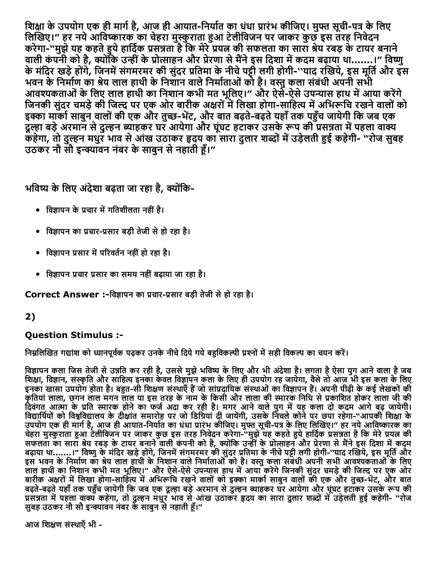शिक्षा के उपयोग एक ही मार्ग है, आज ही आयात-निर्यात का धंधा प्रारंभ कीजिए। मुफ्त सूची-पत्र के लिए लिखिए।" हर नये आविष्कारक का चेहरा मुस्कुराता हुआ टेलीविजन पर जाकर कुछ इस तरह निवेदन करेगा"मुझेयह कहतेĀयेहािद㸭Āक 䐴Āस㚺Āता हैिक मेरे䐴Āय몆Ā की सफलता का सारा Āेय रबड़ केटायर बनाने वाली कंपनी को है, क्योंकि उन्हीं के प्रोत्साहन और प्रेरणा से मैंने इस दिशा में कदम बढ़ाया था.......।" विष्णु के मंदिर खड़े होंगे, जिनमें संगमरमर की सुंदर प्रतिमा के नीचे पट्टी लगी होगी-''याद रखिये, इस मूर्ति और इस भवन के निर्माण का श्रेय लाल हाथी के निशान वाले निर्माताओं को है। वस्तु कला संबंधी अपनी सभी आवश्यकताओं के लिए लाल हाथी का निशान कभी मत भूलिए।" और ऐसे-ऐसे उपन्यास हाथ में आया करेंगे जिनकी सुंदर चमड़े की जिल्द पर एक ओर बारीक अक्षरों में लिखा होगा-साहित्य में अभिरूचि रखने वालों को इक्का मार्का साबुन वालों की एक और तुच्छ-भेंट, और बात बढ़ते-बढ़ते यहाँ तक पहुँच जायेगी कि जब एक दुल्हा बड़े अरमान से दुल्हन ब्याहकर घर आयेगा और घूंघट हटाकर उसके रूप की प्रसन्नता में पहला वाक्य कहेगा, तो दुल्हन मधुर भाव से आंख उठाकर हृदय का सारा दुलार शब्दों में उड़ेलती हुई कहेगी- "रोज सुबह उठकर नौ सौ इन्क्यावन नंबर के साबन से नहाती हैं।"

भविष्य के लिए अंदेशा बढ़ता जा रहा है, क्योंकि-

- विज्ञापन के प्रचार में गतिशीलता नहीं है।
- विज्ञापन का प्रचार-प्रसार बड़ी तेजी से हो रहा है।
- विज्ञापन प्रसार में परिवर्तन नहीं हो रहा है।
- विज्ञापन प्रचार प्रसार का समय नहीं बढाया जा रहा है।

Correct Answer :-विज्ञापन का प्रचार-प्रसार बड़ी तेजी से हो रहा है।

### 2)

#### Question Stimulus :

निम्नलिखित गद्यांश को ध्यानपूर्वक पढ़कर उनके नीचे दिये गये बहुविकल्पी प्रश्नों में सही विकल्प का चयन करें।

विज्ञापन कला जिस तेजी से उन्नति कर रही है, उससे मुझे भविष्य के लिए और भी अंदेशा है। लगता है ऐसा युग आने वाला है जब शिक्षा, विज्ञान, संस्कृति और साहित्य इनका केवल विज्ञापन कला के लिए ही उपयोग रह जायेगा, वैसे तो आज भी इस कला के लिए इनका खासा उपयोग होता है। बहुत-सी शिक्षण संस्थाएँ हैं जो सांप्रदायिक संस्थाओं का विज्ञापन हैं। अपनी पीढ़ी के कई लेखकों की कृतियां लाला, छगन लाल मगन लाल या इस तरह के नाम के किसी और लाला की स्मारक निधि से प्रकाशित होकर लाला जी की दिवंगत आत्मा के प्रति स्मारक होने का फर्ज अदा कर रही है। मगर आने वाले युग में यह कला दो कदम आगे बढ़ जायेगी। विद्यार्थियों को विश्वविद्यालय के देक्षिात समारोह पर जो डिग्रियां दी जायेगी, उसके निचले कोने पर छपा रहेगा-"आपकी शिक्षा के उपयोग एक ही मार्ग है, आज ही आयात-निर्यात का धंधा प्रारंभ कीजिए। मुफ्त सूची-पत्र के लिए लिखिए।" हर नये आविष्कारक का चेहरा मुस्कुराता हुआ टेलीविजन पर जाकर कुछ इस तरह निवेदन करेगा-"मुझे यह कहते हुये हार्दिक प्रसन्नता है कि मेरे प्रयत्न की सफलता का सारा श्रेय रबड़ के टायर बनाने वाली कंपनी को है, क्योंकि उन्हीं के प्रोत्साहन और प्रेरणा से मैंने इस दिशा में कदम बढ़ाया था.......।" विष्णु के मंदिर खड़े होंगे, जिनमें संगमरमर की सुंदर प्रतिमा के नीचे पट्टी लगी होगी-''याद रखिये, इस मूर्ति और इस भवन के निर्माण का श्रेय लाल हाथी के निशान वाले निर्माताओं को है। वस्तु कला संबंधी अपनी सभी आवश्यकताओं के लिए लाल हाथी का निशान कभी मत भूलिए।" और ऐसे-ऐसे उपन्यास हाथ में आया करेंगे जिनकी सुंदर चमड़े की जिल्द पर एक ओर बारीक अक्षरों में लिखा होगा-साहित्य में अभिरूचि रखने वालों को इक्का मार्का साबुन वालों की एक और तुच्छ-भेंट, और बात बढ़ते-बढ़ते यहाँ तक पहुँच जायेगी कि जब एक दूल्हा बड़े अरमान से दुल्हन ब्याहकर घर आयेगा और घूंघट हटाकर उसके रूप की प्रसन्नता में पहला वाक्य कहेगा, तो दुल्हन मधुर भाव से आंख उठाकर हृदय का सारा दुलार शब्दों में उड़ेलती हुई कहेगी- "रोज सुबह उठकर नौ सौ इन्क्यावन नंबर के साबुन से नहाती हूँ।"

आज शिक्षण संस्थाएँ भी -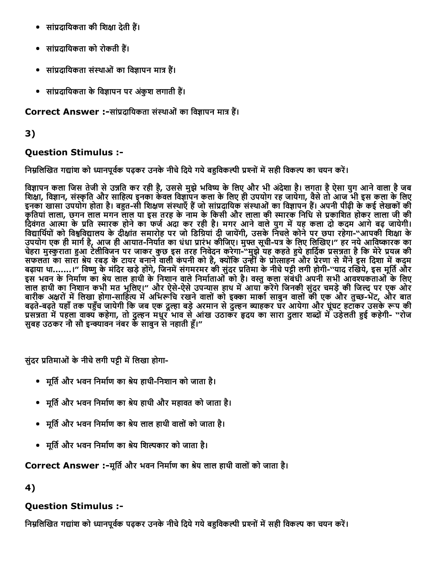- सांप्रदायिकता की शिक्षा देती हैं।
- सांप्रदायिकता को रोकती हैं।
- सांप्रदायिकता संस्थाओं का विज्ञापन मात्र हैं।
- सांप्रदायिकता के विज्ञापन पर अंकुश लगाती हैं।

### Correct Answer :-सांप्रदायिकता संस्थाओं का विज्ञापन मात्र हैं।

### 3)

### Question Stimulus :

निम्नलिखित गद्यांश को ध्यानपूर्वक पढ़कर उनके नीचे दिये गये बहुविकल्पी प्रश्नों में सही विकल्प का चयन करें।

विज्ञापन कला जिस तेजी से उन्नति कर रही है, उससे मुझे भविष्य के लिए और भी अंदेशा है। लगता है ऐसा युग आने वाला है जब शिक्षा, विज्ञान, संस्कृति और साहित्य इनका केवल विज्ञापन कला के लिए ही उपयोग रह जायेगा, वैसे तो आज भी इस कला के लिए इनका खासा उपयोग होता है। बहुत-सी शिक्षण संस्थाएँ हैं जो सांप्रदायिक संस्थाओं का विज्ञापन हैं। अपनी पीढ़ी के कई लेखकों की कृतियां लाला, छगन लाल मगन लाल या इस तरह के नाम के किसी और लाला की स्मारक निधि से प्रकाशित होकर लाला जी की दिवंगत आत्मा के प्रति स्मारक होने का फर्ज अंदा कर रही है। मगर आने वाले युग में यह कला दो कदम आगे बढ़ जायेगी। िव्हार्थियों को विश्वविद्यालय के दीक्षांत समारोह पर जो डिग्रियां दी जायेंगी, उसके निचले कोने पर छपा रहेगा-"आपकी शिक्षा के उपयोग एक ही मार्ग है, आज ही आयात-निर्यात का धंधा प्रारंभ कीजिए। मुफ्त सूची-पत्र के लिए लिखिए।" हर नये आविष्कारक का चेहरा मुस्कुराता हुआ टेलीविजन पर जाकर कुछ इस तरह निवेदन करेगा-"मुझे यह कहते हुये हार्दिक प्रसन्नता है कि मेरे प्रयत्न की सफलता का सारा श्रेय रबड़ के टायर बनाने वाली कंपनी को है, क्योंकि उन्हीं के प्रोत्साहन और प्रेरणा से मैंने इस दिशा में कदम बढ़ाया था.......।" विष्णु के मंदिर खड़े होंगे, जिनमें संगमरमर की सुंदर प्रतिमा के नीचे पट्टी लगी होगी-''याद रखिये, इस मूर्ति और इस भवन के निर्माण का श्रेय लाल हाथी के निशान वाले निर्माताओं को है। वस्तु कला संबंधी अपनी सभी आवश्यकताओं के लिए लाल हाथी का निशान कभी मत भूलिए।" और ऐसे-ऐसे उपन्यास हाथ में आया करेंगे जिनकी सुंदर चमड़े की जिल्द पर एक ओर बारीक अक्षरों में लिखा होगा-साहित्य में अभिरूचि रखने वालों को इक्का मार्का साबुन वालों की एक और तुच्छ-भेंट, और बात बढ़ते-बढ़ते यहाँ तक पहुँच जायेगी कि जब एक दूल्हा बड़े अरमान से दुल्हन ब्याहकर घर आयेगा और घूंघट हटाँकर उसके रूप की प्रसन्नता में पहला वाक्य कहेगा, तो दुल्हन मधुर भाव से आंख उठाकर हृदय का सारा दुलार शब्दों में उड़ेलती हुई कहेगी- "रोज सुबह उठकर नौ सौ इन्क्यावन नंबर के साबुन से नहाती हूँ।"

सुंदर प्रतिमाओं के नीचे लगी पट्टी में लिखा होगा-

- मूर्ति और भवन निर्माण का श्रेय हाथी-निशान को जाता है।
- मूर्ति और भवन निर्माण का श्रेय हाथी और महावत को जाता है।
- मूर्ति और भवन निर्माण का श्रेय लाल हाथी वालों को जाता है।
- मूर्ति और भवन निर्माण का श्रेय शिल्पकार को जाता है।

### Correct Answer :-मूर्ति और भवन निर्माण का श्रेय लाल हाथी वालों को जाता है।

4)

### Question Stimulus :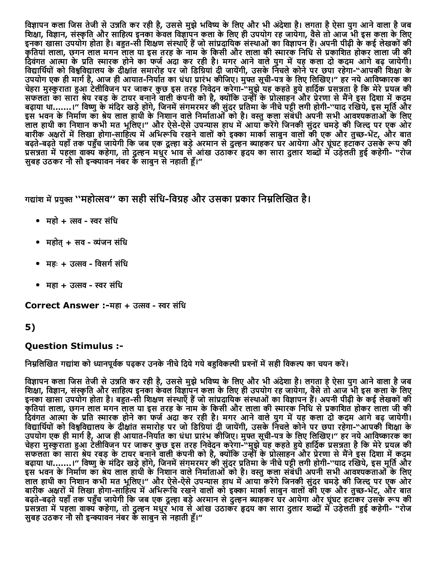विज्ञापन कला जिस तेजी से उन्नति कर रही है, उससे मुझे भविष्य के लिए और भी अंदेशा है। लगता है ऐसा युग आने वाला है जब शिक्षा, विज्ञान, संस्कृति और साहित्य इनका केवल विज्ञापन कला के लिए ही उपयोग रह जायेगा, वैसे तो आज भी इस कला के लिए इनका खासा उपयोग होता है। बहुत-सी शिक्षण संस्थाएँ हैं जो सांप्रदायिक संस्थाओं का विज्ञापन हैं। अपनी पीढ़ी के कई लेखकों की कृतियां लाला, छगन लाल मगन लाल या इस तरह के नाम के किसी और लाला की स्मारक निधि से प्रकाशित होकर लाला जी की दिवंगत आत्मा के प्रति स्मारक होने का फर्ज अदा कर रही है। मगर आने वाले युग में यह कला दो कदम आगे बढ़ जायेगी। विद्यार्थियों को विश्वविद्यालय के दीक्षांत समारोह पर जो डिग्रियां दी जायेंगी, उसके निचले कोने पर छपा रहेगा-"आपकी शिक्षा के उपयोग एक ही मार्ग है, आज ही आयात-निर्यात का धंधा प्रारंभ कीजिए। मुफ्त सूची-पत्र के लिए लिखिए।" हर नये आविष्कारक का चेहरा मुस्कुराता हुआ टेलीविजन पर जाकर कुछ इस तरह निवेदन करेगा-"मुझे यह कहते हुये हार्दिक प्रसन्नता है कि मेरे प्रयत्न की सफलता का सारा श्रेय रबड़ के टायर बनाने वाली कंपनी को है, क्योंकि उन्हीं के प्रोत्साहन और प्रेरणा से मैंने इस दिशा में कदम बढ़ाया था.......।" विष्णु के मंदिर खड़े होंगे, जिनमें संगमरमर की सुंदर प्रतिमा के नीचे पट्टी लगी होगी-''याद रखिये, इस मूर्ति और इस भवन के निर्माण का श्रेय लाल हाथी के निशान वाले निर्माताओं को है। वस्तु कला संबंधी अपनी सभी आवश्यकताओं के लिए लाल हाथी का निशान कभी मत भूलिए।" और ऐसे-ऐसे उपन्यास हाथ में आया करेंगे जिनकी सुंदर चमड़े की जिल्द पर एक ओर बारीक अक्षरों में लिखा होगा-साहित्य में अभिरूचि रखने वालों को इक्का मार्का साबुन वालों की एक और तुच्छ-भेंट, और बात बढ़ते-बढ़ते यहाँ तक पहुँच जायेगी कि जब एक दूल्हा बड़े अरमान से दुल्हन ब्याहकर घर आयेगा और घूंघट हटाकर उसके रूप की प्रसन्नता में पहला वाक्य कहेगा, तो दुल्हन मधुर भाव से आंख उठाकर हृदय का सारा दुलार शब्दों में उड़ेलती हुई कहेगी- "रोज सबह उठकर नौ सौ इन्क्यावन नंबर के साबन से नहाती हैं।"

गद्यांश में प्रयुक्त ''महोत्सव'' का सही संधि-विग्रह और उसका प्रकार निम्नलिखित है।

- महो + त्सव स्वर संधि
- महोत् + सव व्यंजन संधि
- महः + उत्सव विसर्ग संधि
- महा + उत्सव स्वर संधि

Correct Answer :-महा + उत्सव - स्वर संधि

### 5)

#### Question Stimulus :

निम्नलिखित गद्यांश को ध्यानपूर्वक पढ़कर उनके नीचे दिये गये बहुविकल्पी प्रश्नों में सही विकल्प का चयन करें।

विज्ञापन कला जिस तेजी से उन्नति कर रही है, उससे मुझे भविष्य के लिए और भी अंदेशा है। लगता है ऐसा युग आने वाला है जब शिक्षा, विज्ञान, संस्कृति और साहित्य इनका केवल विज्ञापन कला के लिए ही उपयोग रह जायेगा, वैसे तो आज भी इस कला के लिए इनका खासा उपयोग होता है। बहुत-सी शिक्षण संस्थाएँ हैं जो सांप्रदायिक संस्थाओं का विज्ञापन हैं। अपनी पीढ़ी के कई लेखकों की कृतियां लाला, छगन लाल मगन लाल या इस तरह के नाम के किसी और लाला की स्मारक निधि से प्रकाशित होकर लाला जी की न्हालना आता, उन्हों आये का आये कर कर रही है। मगर आने वाले युग में यह कला दो कदम आगे बढ़ जायेगी। विद्यार्थियों को विश्वविद्यालय के दीक्षांत समारोह पर जो डिग्रियां दी जायेंगी, उसके निचले कोने पर छपा रहेगा-"आपकी शिक्षा के उपयोग एक ही मार्ग है, आज ही आयात-निर्यात का धंधा प्रारंभ कीजिए। मुफ्त सूची-पत्र के लिए लिखिए।" हर नये आविष्कारक का चेहरा मुस्कुराता हुआ टेलीविजन पर जाकर कुछ इस तरह निवेदन करेगा-"मुझे यह कहते हुये हार्दिक प्रसन्नता है कि मेरे प्रयत्न की सफलता का सारा श्रेय रबड़ के टायर बनाने वाली कंपनी को है, क्योंकि उन्हीं के प्रोत्साहन और प्रेरणा से मैंने इस दिशा में कदम बढ़ाया था.......।" विष्णु के मंदिर खड़े होंगे, जिनमें संगमरमर की सुंदर प्रतिमा के नीचे पट्टी लगी होगी-''याद रखिये, इस मूर्ति और इस भवन के निर्माण का श्रेय लाल हाथी के निशान वाले निर्माताओं को है। वस्तु कला संबंधी अपनी सभी आवश्यकताओं के लिए लाल हाथी का निशान कभी मत भूलिए।" और ऐसे-ऐसे उपन्यास हाथ में आया करेंगे जिनकी सुंदर चमड़े की जिल्द पर एक ओर बारीक अक्षरों में लिखा होगा-साहित्य में अभिरूचि रखने वालों को इक्का मार्का साबुन वालों की एक और तुच्छ-भेंट, और बात बढ़ते-बढ़ते यहाँ तक पहुँच जायेगी कि जब एक दूल्हा बड़े अरमान से दुल्हन ब्याहकर घर आयेगा और घूंघट हटाकर उसके रूप की प्रसन्नता में पहला वाक्य कहेगा, तो दुल्हन मधुर भाव से आंख उठाकर हृदय का सारा दुलार शब्दों में उड़ेलती हुई कहेगी- "रोज सुबह उठकर नौ सौ इन्क्यावन नंबर के साबुन से नहाती हूँ।"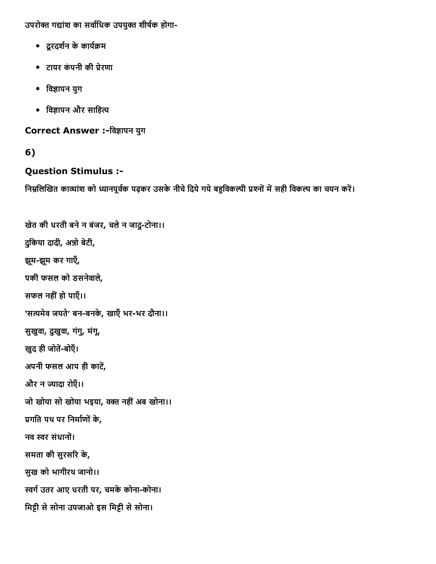उपरोक्त गद्यांश का सर्वाधिक उपयुक्त शीर्षक होगा-

- दूरदर्शन के कार्यक्रम
- टायर कंपनी की प्रेरणा
- विज्ञापन युग
- विज्ञापन और साहित्य

Correct Answer :-विज्ञापन युग

### 6)

### Question Stimulus :

```
खेत की धरती बनेन बंजर, चलेन जादूटोना।।
दुकिया दादी, अन्नो बेटी,
झूम-झूम कर गाएँ,
पकी फसल को डसनेवाले,
सफल नहींहो पाएँ।।
'सत्यमेव जयते' बन-बनके, खाएँ भर-भर दौना।।
सुखुवा, दुखुवा, गंगु, मंगू,
खुद ही जोतें-बोएँ।
अपनी फसल आप ही काटें,
और न ज्यादा रोएँ।।
जो खोया सो खोया भइया, वक्त नहीं अब खोना।।
प्रगति पथ पर निर्माणों के,
नव स्वर संधानों।
समता की सुरसरि के,
सुख को भागीरथ जानो।।
स्वर्ग उतर आए धरती पर, चमके कोना-कोना।
मिट्टी से सोना उपजाओ इस मिट्टी से सोना।
```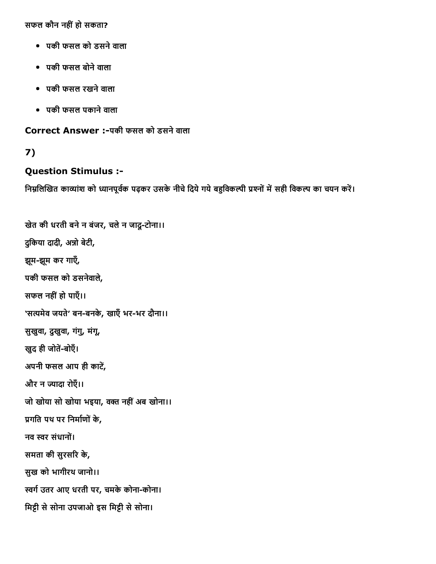सफल कौन नहींहो सकता?

- पकी फसल को डसनेवाला
- पकी फसल बोनेवाला
- पकी फसल रखनेवाला
- पकी फसल पकानेवाला

Correct Answer :पकी फसल को डसनेवाला

### 7)

#### Question Stimulus :

```
खेत की धरती बनेन बंजर, चलेन जादूटोना।।
दुकिया दादी, अन्नो बेटी,
झूम-झूम कर गाएँ,
पकी फसल को डसनेवाले,
सफल नहींहो पाएँ।।
'सत्यमेव जयते' बन-बनके, खाएँ भर-भर दौना।।
सुखुवा, दुखुवा, गंगु, मंगू,
खुद ही जोतें-बोएँ।
अपनी फसल आप ही काटें,
और न ज्यादा रोएँ।।
जो खोया सो खोया भइया, वक्त नहीं अब खोना।।
प्रगति पथ पर निर्माणों के,
नव स्वर संधानों।
समता की सुरसरि के,
सुख को भागीरथ जानो।।
स्वर्ग उतर आए धरती पर, चमके कोना-कोना।
मिट्टी से सोना उपजाओ इस मिट्टी से सोना।
```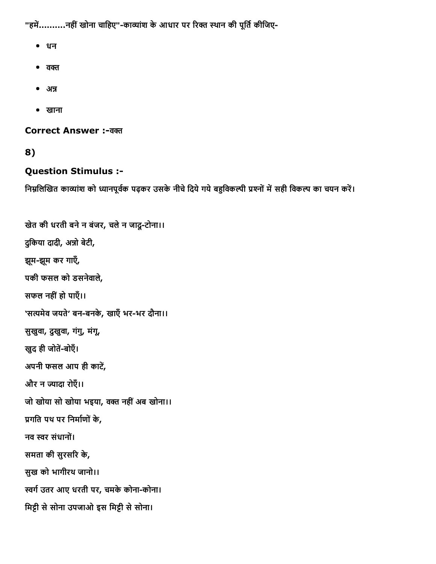"हमें..........नहीं खोना चाहिए"-काव्यांश के आधार पर रिक्त स्थान की पूर्ति कीजिए-

- धन
- $\bullet$  a $\sigma$
- $\bullet$  अन्न
- खाना

Correct Answer :-वक्त

8)

#### Question Stimulus :

```
खेत की धरती बनेन बंजर, चलेन जादूटोना।।
दुकिया दादी, अन्नो बेटी,
झूम-झूम कर गाएँ,
पकी फसल को डसनेवाले,
सफल नहींहो पाएँ।।
'सत्यमेव जयते' बन-बनके, खाएँ भर-भर दौना।।
सुखुवा, दुखुवा, गंगु, मंगू,
खुद ही जोतें-बोएँ।
अपनी फसल आप ही काटें,
और न ज्यादा रोएँ।।
जो खोया सो खोया भइया, वक्त नहीं अब खोना।।
प्रगति पथ पर निर्माणों के,
नव स्वर संधानों।
समता की सुरसरि के,
सुख को भागीरथ जानो।।
स्वर्ग उतर आए धरती पर, चमके कोना-कोना।
मिट्टी से सोना उपजाओ इस मिट्टी से सोना।
```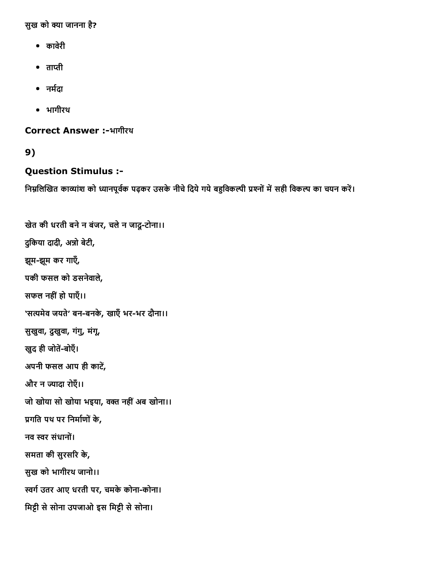सुख को क्या जानना है?

- कावरेी
- $\bullet$  ताप्ती
- नर्मदा
- भागीरथ

Correct Answer :-भागीरथ

9)

#### Question Stimulus :

```
खेत की धरती बनेन बंजर, चलेन जादूटोना।।
दुकिया दादी, अन्नो बेटी,
झूम-झूम कर गाएँ,
पकी फसल को डसनेवाले,
सफल नहींहो पाएँ।।
'सत्यमेव जयते' बन-बनके, खाएँ भर-भर दौना।।
सुखुवा, दुखुवा, गंगु, मंगू,
खुद ही जोतें-बोएँ।
अपनी फसल आप ही काटें,
और न ज्यादा रोएँ।।
जो खोया सो खोया भइया, वक्त नहीं अब खोना।।
प्रगति पथ पर निर्माणों के,
नव स्वर संधानों।
समता की सुरसरि के,
सुख को भागीरथ जानो।।
स्वर्ग उतर आए धरती पर, चमके कोना-कोना।
मिट्टी से सोना उपजाओ इस मिट्टी से सोना।
```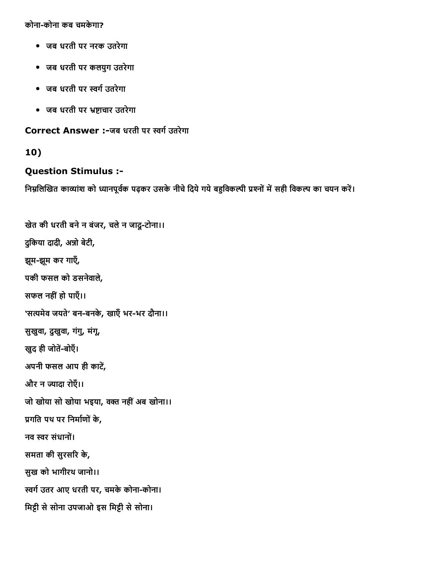कोनाकोना कब चमकेगा?

- जब धरती पर नरक उतरेगा
- जब धरती पर कलयुग उतरेगा
- जब धरती पर स्वर्ग उतरेगा
- जब धरती पर भ्रष्टाचार उतरेगा

Correct Answer :-जब धरती पर स्वर्ग उतरेगा

10)

#### Question Stimulus :

```
खेत की धरती बने न बंजर, चले न जादू-टोना।।
दुकिया दादी, अन्नो बेटी,
झूम-झूम कर गाएँ,
पकी फसल को डसनेवाले,
सफल नहींहो पाएँ।।
'सत्यमेव जयते' बन-बनके, खाएँ भर-भर दौना।।
सुखुवा, दुखुवा, गंगु, मंगू,
खुद ही जोतें-बोएँ।
अपनी फसल आप ही काटें,
और न ज्यादा रोएँ।।
जो खोया सो खोया भइया, वक्त नहीं अब खोना।।
प्रगति पथ पर निर्माणों के,
नव स्वर संधानों।
समता की सुरसरि के,
सुख को भागीरथ जानो।।
स्वर्ग उतर आए धरती पर, चमके कोना-कोना।
मिट्टी से सोना उपजाओ इस मिट्टी से सोना।
```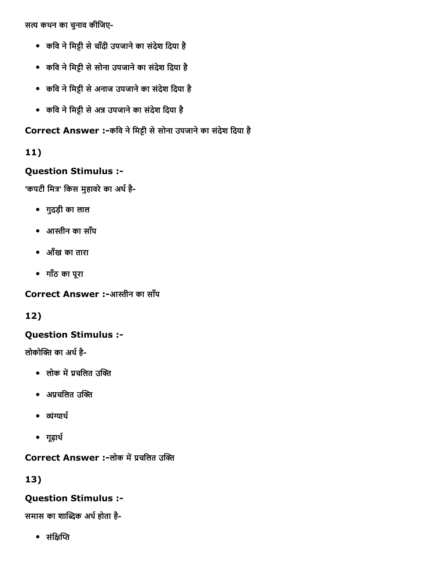सत्य कथन का चुनाव कीजिए-

- कवि ने मिट्टी से चाँदी उपजाने का संदेश दिया है
- कवि ने मिट्टी से सोना उपजाने का संदेश दिया है
- कवि ने मिट्टी से अनाज उपजाने का संदेश दिया है
- कवि ने मिट्टी से अन्न उपजाने का संदेश दिया है

Correct Answer :-कवि ने मिट्टी से सोना उपजाने का संदेश दिया है

### 11)

### Question Stimulus :

'कपटी मित्र' किस मुहावरे का अर्थ है-

- गुदड़ी का लाल
- आ捀ीन का साँप
- आँख का तारा
- गाँठ का पूरा

Correct Answer :-आस्तीन का साँप

12)

### Question Stimulus :

लोकोक्ति का अर्थ है-

- लोक में प्रचलित उक्ति
- अप्रचलित उक्ति
- $•$   $\vec{\alpha}$
- गूढ़ार्थ

### Correct Answer :-लोक में प्रचलित उक्ति

13)

### Question Stimulus :

समास का शाब्दिक अर्थ होता है-

• संक्षिप्ति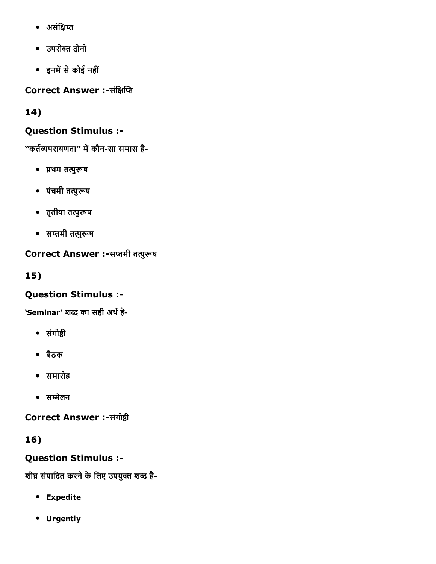- असंक्षिप्त
- उपरो칀Ā दोनों
- इनमें से कोई नहीं

Correct Answer :-संक्षिप्ति

14)

### Question Stimulus :

''कर्तव्यपरायणता'' में कौन-सा समास है-

- 䐴Āथम तĀु搰Āष
- पंचमी तत्पुरूष
- तृतीया तत्पुरूष
- सप्तमी तत्पुरूष

### Correct Answer :-सप्तमी तत्पुरूष

15)

### Question Stimulus :

'Seminar' शब्द का सही अर्थ है-

- संगोष्ठी
- बैठक
- समारोह
- सम्मेलन

Correct Answer :-संगोष्ठी

16)

Question Stimulus :

शीघ्र संपादित करने के लिए उपयुक्त शब्द है-

- Expedite
- Urgently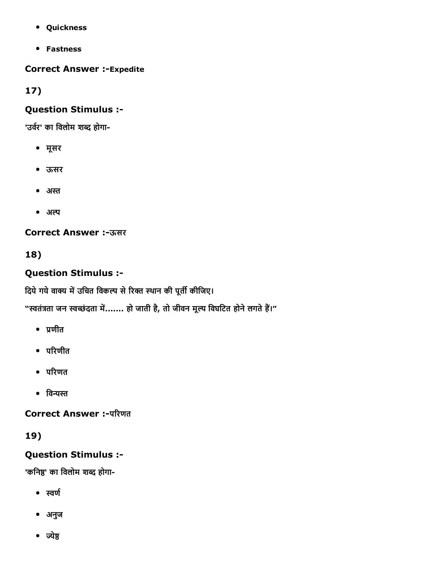- Quickness
- Fastness

#### **Correct Answer :-Expedite**

17)

#### Question Stimulus :

'उर्वर' का विलोम शब्द होगा-

- मूसर
- ऊसर
- अस्त
- अल्प

#### **Correct Answer :-ऊसर**

18)

### Question Stimulus :

दिये गये वाक्य में उचित विकल्प से रिक्त स्थान की पूर्ती कीजिए।

"स्वतंत्रता जन स्वच्छंदता में....... हो जाती है, तो जीवन मूल्य विघटित होने लगते हैं।"

- $\bullet$  प्रणीत
- $\bullet$  परिणीत
- परिणत
- विन्यस्त

Correct Answer :-परिणत

### 19)

### Question Stimulus :

'कनिष्ठ' का विलोम शब्द होगा-

- स्वर्ण
- अनुज
- ज्येष्ठ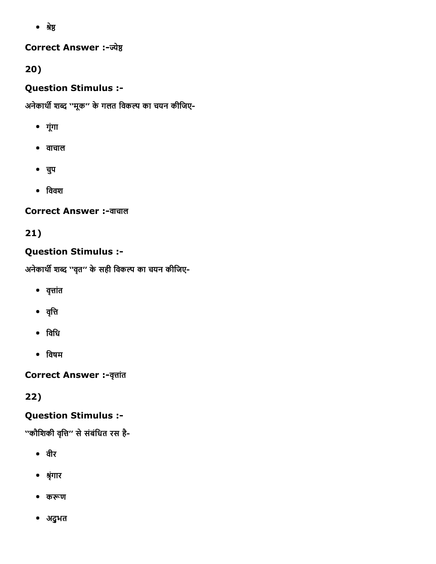• श्रेष्ठ

#### **Correct Answer :-ज्येष्ठ**

### 20)

### Question Stimulus :

अनेकार्थी शब्द ''मूक'' के गलत विकल्प का चयन कीजिए-

- गूंगा
- वाचाल
- चपु
- $\bullet$  विवश

### **Correct Answer :-वाचाल**

# 21)

### Question Stimulus :

अनेकार्थी शब्द ''वृत" के सही विकल्प का चयन कीजिए-

- $\bullet$  वृत्तांत
- वृत्ति
- िविध
- िवषम

**Correct Answer :- वृत्तांत** 

22)

# Question Stimulus :

''कौशिकी वृत्ति'' से संबंधित रस है-

- वीर
- Āृंगार
- करूण
- अद्ुभत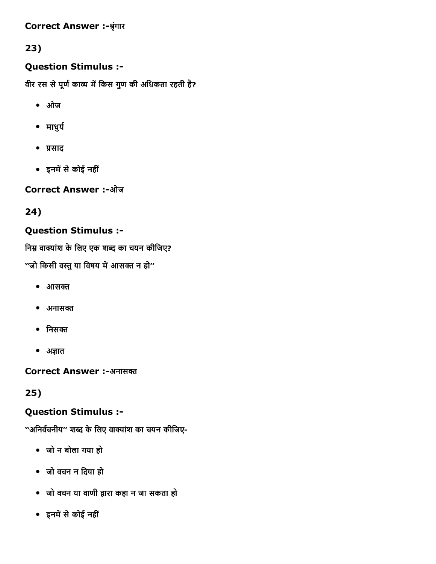#### **Correct Answer :-श्रृंगार**

### 23)

### Question Stimulus :

वीर रस से पूर्ण काव्य में किस गुण की अधिकता रहती है?

- ओज
- माधुर्य
- 䐴Āसाद
- इनमें से कोई नहीं

Correct Answer :-ओज

24)

### Question Stimulus :

निम्न वाक्यांश के लिए एक शब्द का चयन कीजिए?

''जो किसी वस्तु या विषय में आसक्त न हो''

- $\bullet$  आसक्त
- $•$  अनासक्त
- $\bullet$  निसक्त
- $\bullet$  अज्ञात

Correct Answer :-अनासक्त

25)

#### Question Stimulus :

''अनिर्वचनीय'' शब्द के लिए वाक्यांश का चयन कीजिए-

- जो न बोला गया हो
- जो वचन न िदया हो
- जो वचन या वाणी द्वारा कहा न जा सकता हो
- इनमें से कोई नहीं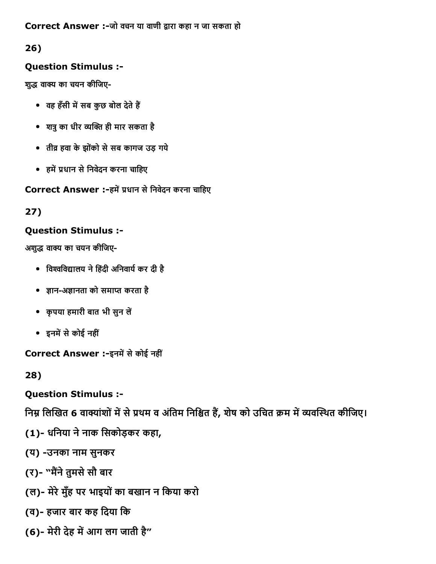#### Correct Answer :-जो वचन या वाणी द्वारा कहा न जा सकता हो

### 26)

### Question Stimulus :

शुद्ध वाक्य का चयन कीजिए-

- वह हँसी में सब कुछ बोल देते हैं
- शत्रु का धीर व्यक्ति ही मार सकता है
- तीव्र हवा के झोंको से सब कागज उड़ गये
- हमें प्रधान से निवेदन करना चाहिए

Correct Answer :-हमें प्रधान से निवेदन करना चाहिए

#### 27)

#### Question Stimulus :

अशुद्ध वाक्य का चयन कीजिए-

- विश्वविद्यालय ने हिंदी अनिवार्य कर दी है
- ज्ञान-अज्ञानता को समाप्त करता है
- कृपया हमारी बात भी सुन लें
- इनमें से कोई नहीं

Correct Answer :-इनमें से कोई नहीं

28)

Question Stimulus :

निम्न लिखित 6 वाक्यांशों में से प्रथम व अंतिम निश्चित हैं, शेष को उचित क्रम में व्यवस्थित कीजिए।

- (1)- धनिया ने नाक सिकोड़कर कहा,
- (य) उनका नाम सुनकर
- (र)- "मैंने तुमसे सौ बार
- (ल)- मेरे मुँह पर भाइयों का बखान न किया करो
- (व) हजार बार कह िदया िक
- (6)- मेरी देह में आग लग जाती है"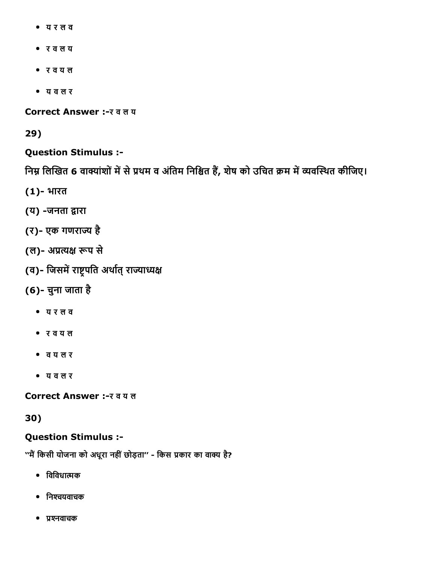- य र ल व
- र व ल य
- र व य ल
- य व ल र

Correct Answer :- र व ल य

29)

#### Question Stimulus :

निम्न लिखित 6 वाक्यांशों में से प्रथम व अंतिम निश्चित हैं, शेष को उचित क्रम में व्यवस्थित कीजिए।

- (1) भारत
- (य) -जनता द्वारा
- (र) एक गणरा쩤Ā है
- (ल)- अप्रत्यक्ष रूप से
- (व)- जिसमें राष्ट्रपति अर्थात् राज्याध्यक्ष
- (6) चुना जाता है
	- य र ल व
	- र व य ल
	- व य ल र
	- य व ल र

Correct Answer :- र व य ल

30)

#### Question Stimulus :

''मैं किसी योजना को अधूरा नहीं छोड़ता'' - किस प्रकार का वाक्य है?

- $\bullet$  विविधात्मक
- निश्चयवाचक
- प्रश्नवाचक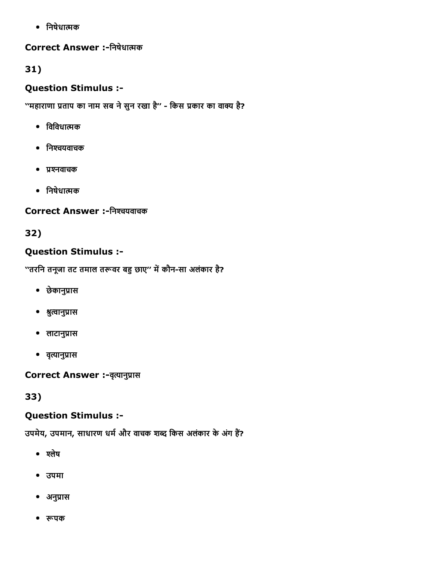• निषेधात्मक

#### Correct Answer :-निषेधात्मक

### 31)

#### Question Stimulus :

''महाराणा प्रताप का नाम सब ने सुन रखा है'' - किस प्रकार का वाक्य है?

- $\bullet$  विविधात्मक
- निश्चयवाचक
- प्रश्नवाचक
- निषेधात्मक

### Correct Answer :-निश्चयवाचक

# 32)

### Question Stimulus :

''तरनि तनूजा तट तमाल तरूवर बहु छाए'' में कौन-सा अलंकार है?

- छेकानुप्रास
- श्रुत्वानुप्रास
- लाटानुप्रास
- वृत्यानुप्रास

Correct Answer :- वृत्यानुप्रास

33)

### Question Stimulus :

उपमेय, उपमान, साधारण धर्म और वाचक शब्द किस अलंकार के अंग हैं?

- श्लेष
- उपमा
- अनुप्रास
- रूपक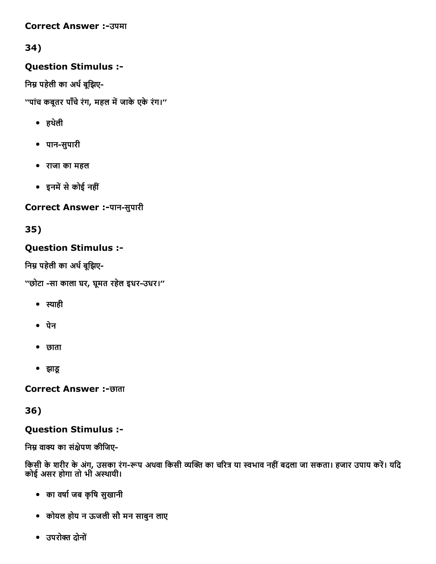#### **Correct Answer :- उपमा**

### 34)

### Question Stimulus :

निम्न पहेली का अर्थ बुझिए-

''पांच कबूतर पाँचे रंग, महल में जाके एके रंग।''

- हथलेी
- पानसुपारी
- राजा का महल
- इनमें से कोई नहीं

Correct Answer :-पान-सुपारी

35)

### Question Stimulus :

निम्न पहेली का अर्थ बूझिए-

''छोटा -सा काला घर, घूमत रहेल इधर-उधर।''

- $\bullet$  स्याही
- पेन
- छाता
- झाडू

**Correct Answer :-छाता** 

36)

#### Question Stimulus :

निम्न वाक्य का संक्षेपण कीजिए-

किसी के शरीर के अंग, उसका रंग-रूप अथवा किसी व्यक्ति का चरित्र या स्वभाव नहीं बदला जा सकता। हजार उपाय करें। यदि कोई असर होगा तो भी अस्थायी।

- का वषा㸭Āजब कृिष सुखानी
- कोयल होय न ऊजली सौ मन साबुन लाए
- उपरोक्त दोनों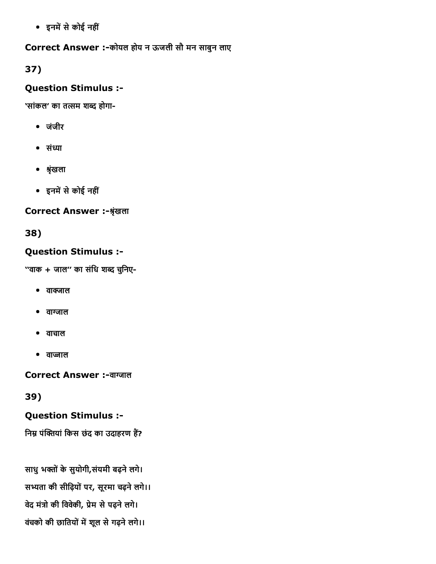• इनमें से कोई नहीं

Correct Answer :-कोयल होय न ऊजली सौ मन साबुन लाए

37)

#### Question Stimulus :

'सांकल' का तत्सम शब्द होगा-

- जंजीर
- $\bullet$  संध्या
- श्रृंखला
- इनमें से कोई नहीं

#### Correct Answer :-श्रृंखला

38)

### Question Stimulus :

''वाक + जाल'' का संिध शȀद चिुनए-

- वाक्जाल
- वाग्जाल
- वाचाल
- वाज्जाल

Correct Answer :-वाग्जाल

39)

#### Question Stimulus :

निम्न पंक्तियां किस छंद का उदाहरण हैं?

साधु भक्तों के सुयोगी,संयमी बढ़ने लगे। सभ्यता की सीढ़ियों पर, सूरमा चढ़ने लगे।। वेद मंत्रो की विवेकी, प्रेम से पढ़ने लगे। वंचको की छातियों में शूल से गढ़ने लगे।।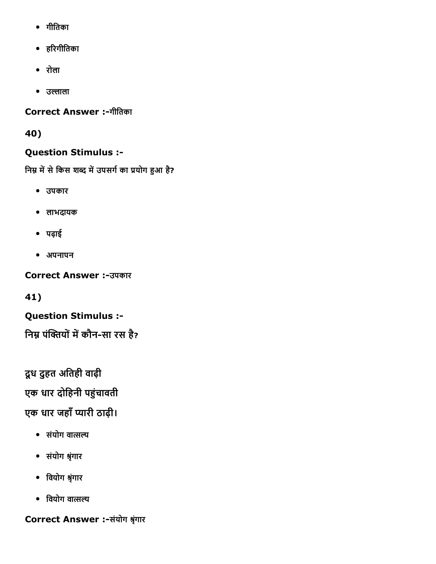- गीितका
- ह숝Āरगीितका
- रोला
- उल्लाला

Correct Answer :-गीतिका

40)

### Question Stimulus :

निम्न में से किस शब्द में उपसर्ग का प्रयोग हुआ है?

- उपकार
- लाभदायक
- पढ़ाई
- अपनापन

**Correct Answer :-उपकार** 

41)

Question Stimulus :

निम्न पंक्तियों में कौन-सा रस है?

दूध दुहत अतिही वाढ़ी

एक धार दोहिनी पहुंचावती

एक धार जहाँ प्यारी ठाढ़ी।

- संयोग वात्सल्य
- संयोग Āृंगार
- िवयोग Āृंगार
- $\bullet$  वियोग वात्सल्य

Correct Answer :-संयोग श्रृंगार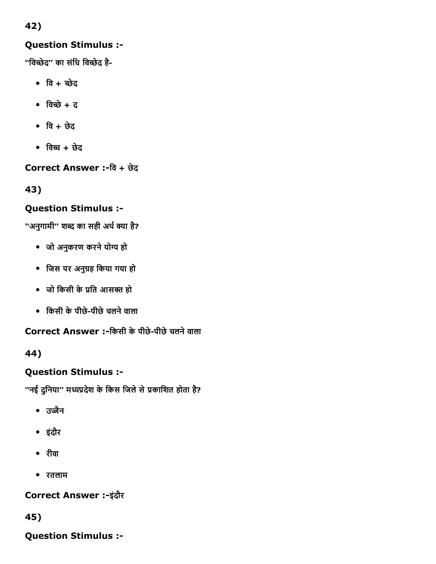### 42)

### Question Stimulus :

''विच्छेद" का संधि विच्छेद है-

- वि $+$  च्छेद
- $\bullet$  विच्छे + द
- $\bullet$  वि + छेद
- $\bullet$  विच्च + छेद

Correct Answer :िव + छेद

43)

### Question Stimulus :

''अनुगामी'' शब्द का सही अर्थ क्या है?

- जो अनुकरण करने योग्य हो
- िजस पर अनु츱Āह िकया गया हो
- जो किसी के प्रति आसक्त हो
- िकसी केपीछेपीछेचलनेवाला

Correct Answer :-किसी के पीछे-पीछे चलने वाला

44)

# Question Stimulus :

''नई दुनिया'' मध्यप्रदेश के किस जिले से प्रकाशित होता है?

- उज्जैन
- इंदौर
- रीवा
- रतलाम

### Correct Answer :-इंदौर

45)

Question Stimulus :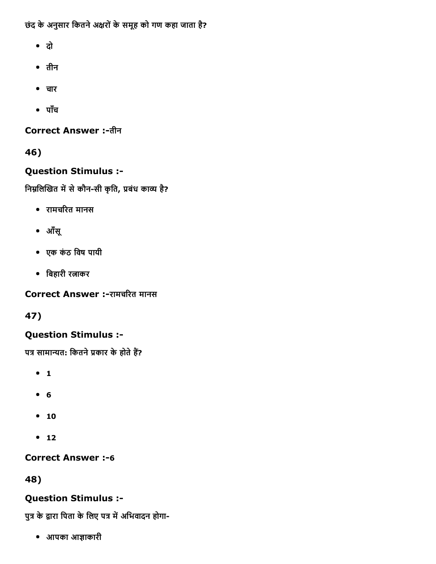छंद के अनुसार कितने अक्षरों के समूह को गण कहा जाता है?

- दो
- तीन
- चार
- पाँच

Correct Answer :-तीन

46)

### Question Stimulus :

निम्नलिखित में से कौन-सी कृति, प्रबंध काव्य है?

- रामचरित मानस
- आँसू
- एक कंठ िवष पायी
- बिहारी रत्नाकर

Correct Answer :-रामचरित मानस

47)

### Question Stimulus :

पत्र सामान्यत: कितने प्रकार के होते हैं?

- $-1$
- 6
- $10$
- $12$

### **Correct Answer :-6**

48)

### Question Stimulus :

पुत्र के द्वारा पिता के लिए पत्र में अभिवादन होगा-

• आपका आज्ञाकारी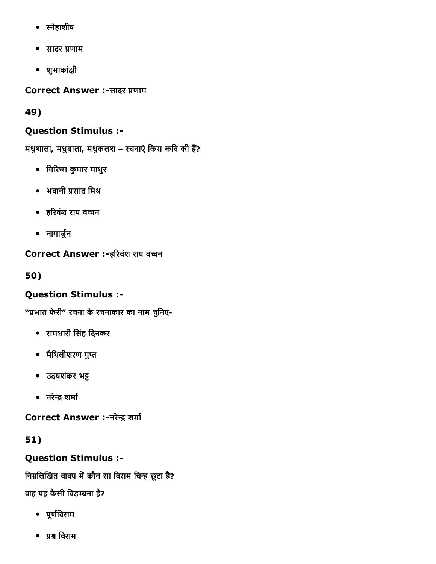- स्नेहाशीष
- सादर 䐴Āणाम
- शुभाकांꉈĀी

Correct Answer :-सादर प्रणाम

49)

# Question Stimulus :

मधुशाला, मधुबाला, मधुकलश – रचनाएं किस कवि की हैं?

- गिरिजा कुमार माधुर
- भवानी प्रसाद मिश्र
- हरिवंश राय बच्चन
- नागार्जुन

## Correct Answer :-हरिवंश राय बच्चन

50)

# Question Stimulus :

"प्रभात फेरी" रचना के रचनाकार का नाम चुनिए-

- रामधारी िसंह िदनकर
- मैथिलीशरण गुप्त
- उदयशंकर भट्ट
- नरेन्द्र शर्मा

Correct Answer :-नरेन्द्र शर्मा

51)

Question Stimulus :

निम्नलिखित वाक्य में कौन सा विराम चिन्ह छूटा है?

# वाह यह कैसी विडम्बना है?

- पूर्णविराम
- प्रश्न विराम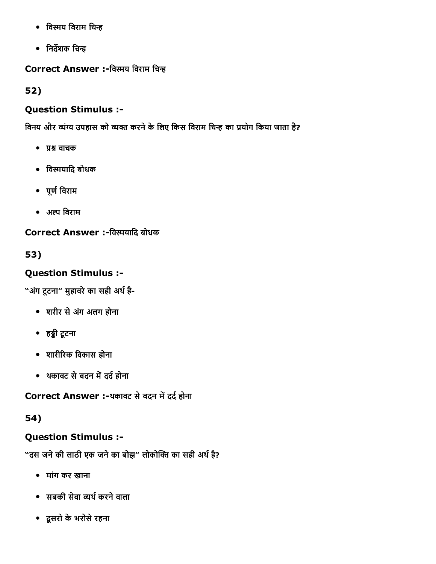- विस्मय विराम चिन्ह
- निर्देशक चिन्ह

Correct Answer :-विस्मय विराम चिन्ह

52)

# Question Stimulus :

विनय और व्यंग्य उपहास को व्यक्त करने के लिए किस विराम चिन्ह का प्रयोग किया जाता है?

- प्रश्न वाचक
- विस्मयादि बोधक
- पूर्ण विराम
- अल्प विराम

Correct Answer :-विस्मयादि बोधक

53)

# Question Stimulus :

"अंग टूटना" मुहावरे का सही अर्थ है-

- शरीर सेअगंअलग होना
- हड्डी टूटना
- शारी숝Āरक िवकास होना
- थकावट से बदन में दर्द होना

Correct Answer :-थकावट से बदन में दर्द होना

54)

# Question Stimulus :

"दस जने की लाठी एक जने का बोझ" लोकोक्ति का सही अर्थ है?

- मांग कर खाना
- सबकी सेवा व्यर्थ करने वाला
- दूसरो केभरोसेरहना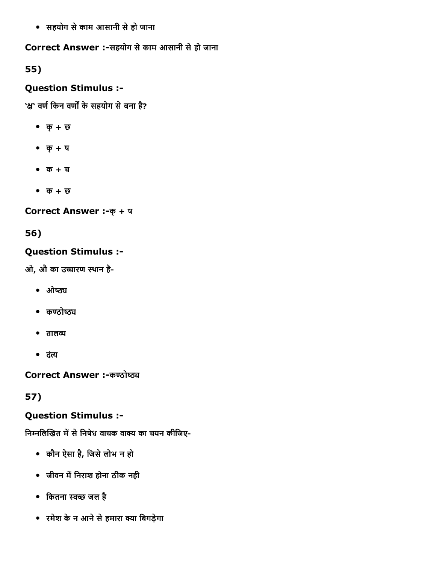सहयोग सेकाम आसानी सेहो जाना

Correct Answer :-सहयोग से काम आसानी से हो जाना

55)

## Question Stimulus :

'क्ष' वर्ण किन वर्णों के सहयोग से बना है?

- क्+ छ
- क्+ ष
- क + च
- क + छ

Correct Answer :- क् + ष

56)

# Question Stimulus :

ओ, औ का उच्चारण स्थान है-

- $\bullet$   $\theta$
- $\bullet$   $\sigma$  $\sigma$  $\sigma$  $\sigma$
- $\bullet$  तालव्य
- दंत्य

**Correct Answer :-कण्ठोष्ठ्य** 

57)

## Question Stimulus :

निम्नलिखित में से निषेध वाचक वाक्य का चयन कीजिए-

- कौन ऐसा है, िजसेलोभ न हो
- जीवन में निराश होना ठीक नही
- कितना स्वच्छ जल है
- रमेश के न आने से हमारा क्या बिगड़ेगा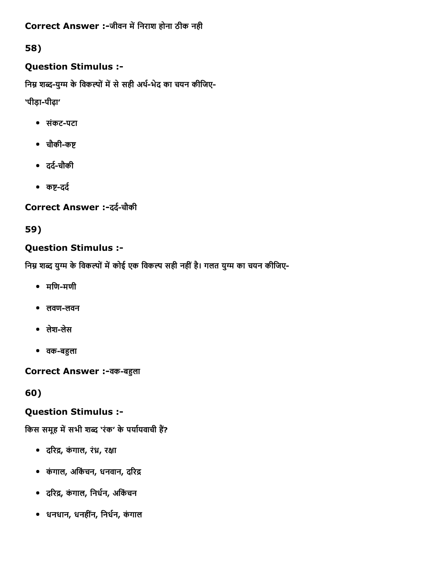Correct Answer :-जीवन में निराश होना ठीक नही

# 58)

## Question Stimulus :

निम्न शब्द-युग्म के विकल्पों में से सही अर्थ-भेद का चयन कीजिए-

'पीड़ा-पीढ़ा'

- संकटपटा
- चौकी-कष्ट
- दर्द-चौकी
- कष्ट-दर्द

Correct Answer :-दर्द-चौकी

59)

## Question Stimulus :

निम्न शब्द युग्म के विकल्पों में कोई एक विकल्प सही नहीं है। गलत युग्म का चयन कीजिए-

- $\bullet$  मणि-मणी
- $\bullet$  लवण-लवन
- लेश-लेस
- वक-बहुला

Correct Answer :-वक-बहुला

60)

## Question Stimulus :

किस समूह में सभी शब्द 'रंक' के पर्यायवाची हैं?

- दरिद्र, कंगाल, रंध्र, रक्षा
- कंगाल, अर्किचन, धनवान, दरिद्र
- दरिद्र, कंगाल, निर्धन, अर्किचन
- धनधान, धनहींन, निर्धन, कंगाल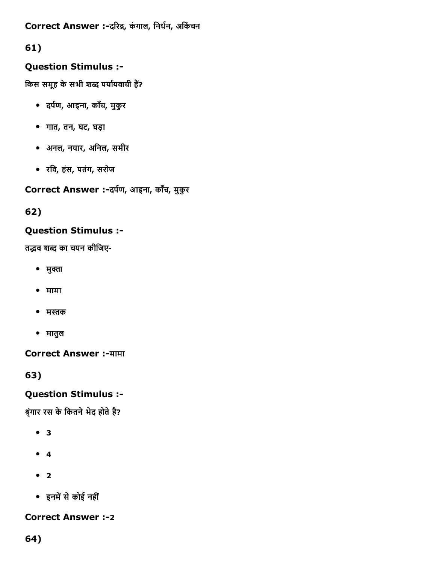Correct Answer :-दरिद्र, कंगाल, निर्धन, अकिंचन

# 61)

# Question Stimulus :

किस समूह के सभी शब्द पर्यायवाची हैं?

- दर्पण, आइना, काँच, मुकुर
- गात, तन, घट, घड़ा
- अनल, नयार, अिनल, समीर
- रिव, हंस, पतंग, सरोज

Correct Answer :-दर्पण, आइना, काँच, मुकुर

62)

# Question Stimulus :

तद्भव शब्द का चयन कीजिए-

- मुक्ता
- मामा
- मस्तक
- मातुल

**Correct Answer :-मामा** 

63)

# Question Stimulus :

श्रृंगार रस के कितने भेद होते है?

- 3
- 4
- $^{\bullet}$  2
- इनमें से कोई नहीं

**Correct Answer :-2**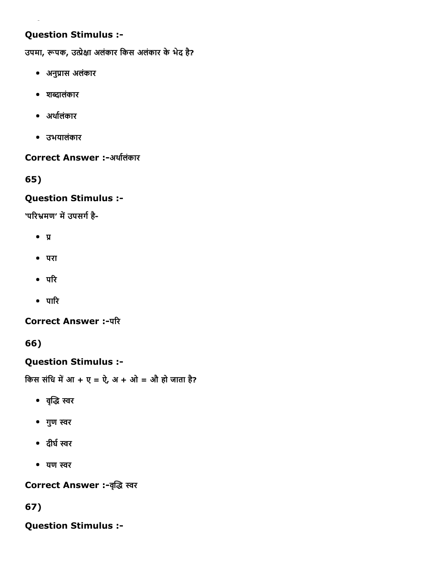उपमा, रूपक, उत्प्रेक्षा अलंकार किस अलंकार के भेद है?

- अनु䐴Āास अलंकार
- शȀदालंकार
- अर्थालंकार
- उभयालंकार

#### Correct Answer :-अर्थालंकार

65)

#### Question Stimulus :

'परिभ्रमण' में उपसर्ग है-

- $\bullet$   $\Pi$
- परा
- $\bullet$  परि
- $\bullet$  पारि

**Correct Answer :- परि** 

66)

#### Question Stimulus :

किस संधि में आ + ए = ऐ, अ + ओ = औ हो जाता है?

- वृद्धि स्वर
- गुण स्वर
- दीर्घ स्वर
- यण स्वर

Correct Answer :-वृद्धि स्वर

67)

Question Stimulus :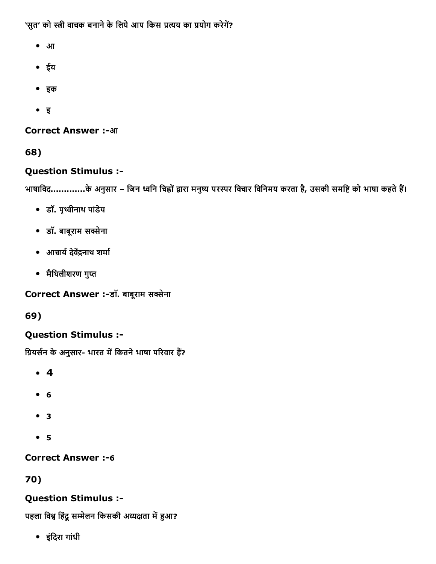'सुत' को स्त्री वाचक बनाने के लिये आप किस प्रत्यय का प्रयोग करेगें?

- आ
- ईय
- इक
- इ

**Correct Answer :-आ** 

68)

# Question Stimulus :

भाषाविद.............के अनुसार – जिन ध्वनि चिह्नों द्वारा मनुष्य परस्पर विचार विनिमय करता है, उसकी समष्टि को भाषा कहते हैं।

- डॉ. पृ쒒Āीनाथ पांडेय
- डॉ. बाबूराम स桉Āेना
- आचार्य देवेंद्रनाथ शर्मा
- मैथिलीशरण गुप्त

Correct Answer :-डॉ. बाबूराम सक्सेना

69)

# Question Stimulus :

ग्रियर्सन के अनुसार- भारत में कितने भाषा परिवार हैं?

- 4
- 6
- 3
- 5

**Correct Answer :-6** 

70)

# Question Stimulus :

पहला विश्व हिंदू सम्मेलन किसकी अध्यक्षता में हुआ?

इंिदरा गांधी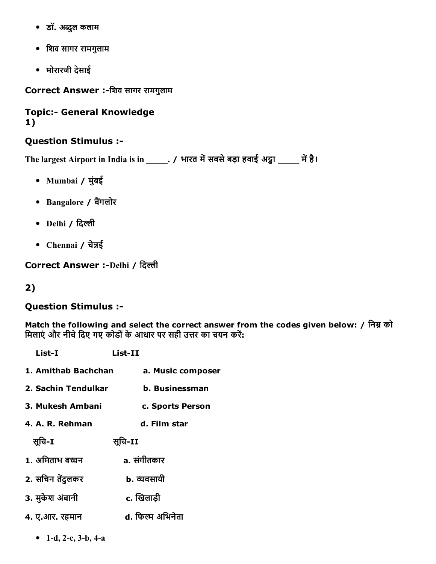- डॉ. अĀुल कलाम
- िशव सागर रामगुलाम
- मोरारजी देसाई

Correct Answer :-शिव सागर रामगुलाम

#### **Topic:- General Knowledge** 1)

#### Question Stimulus :

The largest Airport in India is in \_\_\_\_\_. / भारत में सबसे बड़ा हवाई अड्डा \_\_\_\_\_ में है।

- Mumbai / मुंबई
- Bangalore / बैंगलोर
- Delhi / दिल्ली
- Chennai / चेन्नई

Correct Answer :-Delhi / दिल्ली

## 2)

#### Question Stimulus :

Match the following and select the correct answer from the codes given below: / निम्न को मिलाएं और नीचे दिए गए कोडों के आधार पर सही उत्तर का चयन करें:

| List-I              | List-II           |
|---------------------|-------------------|
| 1. Amithab Bachchan | a. Music composer |
| 2. Sachin Tendulkar | b. Businessman    |
| 3. Mukesh Ambani    | c. Sports Person  |
| 4. A. R. Rehman     | d. Film star      |
| सुचि-1              | सूचि-II           |
| 1. अमिताभ बच्चन     | a. संगीतकार       |
| 2. सचिन तेंदुलकर    | ь. व्यवसायी       |
| 3. मुकेश अंबानी     | c. खिलाडी         |
| 4. ए.आर. रहमान      | d. फिल्म अभिनेता  |
|                     |                   |

• 1-d, 2-c,  $3-b$ ,  $4-a$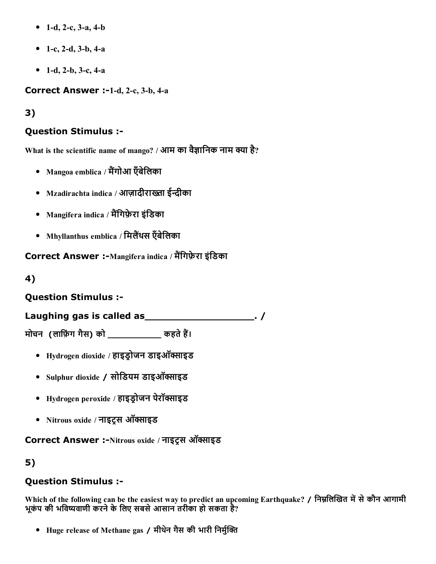- 1-d, 2-c, 3-a, 4-b
- 1-c, 2-d, 3-b, 4-a
- 1-d, 2-b, 3-c, 4-a

Correct Answer  $:-1-d, 2-c, 3-b, 4-a$ 

3)

## Question Stimulus :

What is the scientific name of mango? / आम का वैज्ञानिक नाम क्या है?

- Mangoa emblica / मैंगोआ एँबेलिका
- Mzadirachta indica / आज़ादीराख्ता ईन्दीका
- Mangifera indica / मैंगिफ़ेरा इंडिका
- Mhyllanthus emblica / मिलैंथस एँबेलिका

Correct Answer :-Mangifera indica / मैंगिफ़ेरा इंडिका

4)

## Question Stimulus :

Laughing gas is called as \_\_\_\_\_\_\_\_\_\_\_\_\_\_\_\_\_\_\_\_\_. /

मोचन (लाफ़िंग गैस) को  $\overline{a}$ कहते हैं।

- Hydrogen dioxide / हाइड्रोजन डाइऑक्साइड
- Sulphur dioxide / सोडियम डाइऑक्साइड
- Hydrogen peroxide / हाइड्रोजन पेरॉक्साइड
- Nitrous oxide / नाइट्स ऑक्साइड

Correct Answer :-Nitrous oxide / नाइट्स ऑक्साइड

5)

## Question Stimulus :

Which of the following can be the easiest way to predict an upcoming Earthquake? / निम्नलिखित में से कौन आगामी भूकंप की भविष्यवाणी करने के लिए सबसे आसान तरीका हो सकता है?

• Huge release of Methane gas / मीथेन गैस की भारी निर्मुक्ति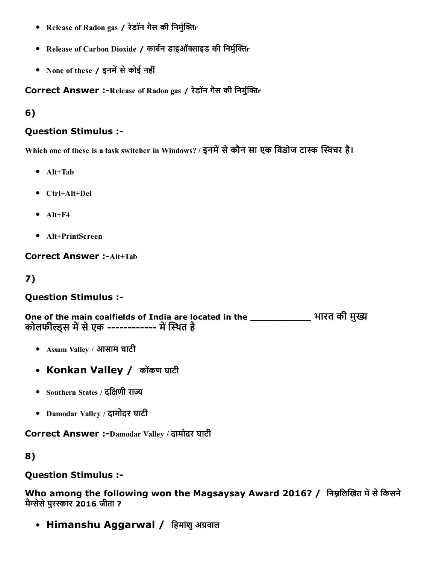- Release of Radon gas / रेडॉन गैस की निर्मुक्तिr
- Release of Carbon Dioxide / कार्बन डाइऑक्साइड की निर्मुक्तिr
- None of these / इनमें से कोई नहीं

Correct Answer :-Release of Radon gas / रेडॉन गैस की निर्मुक्तिr

6)

#### Question Stimulus :

Which one of these is a task switcher in Windows? / इनमें से कौन सा एक विंडोज टास्क स्विचर है।

- Alt+Tab
- Ctrl+Alt+Del
- $\bullet$  Alt+F4
- Alt+PrintScreen

**Correct Answer :-Alt+Tab** 

7)

## Question Stimulus :

One of the main coalfields of India are located in the \_\_\_\_\_\_\_\_\_\_\_\_\_\_\_ भारत की मुख्य कोलफील्डस में से एक ----------- में स्थित है

- Assam Valley / आसाम घाटी
- Konkan Valley / कोंकण घाटी
- Southern States / दक्षिणी राज्य
- Damodar Valley / दामोदर घाटी

Correct Answer :-Damodar Valley / दामोदर घाटी

8)

#### Question Stimulus :

Who among the following won the Magsaysay Award 2016? / निम्नलिखित में से किसने मैग्सेसे पुरस्कार 2016 जीता ?

• Himanshu Aggarwal / हिमांशु अग्रवाल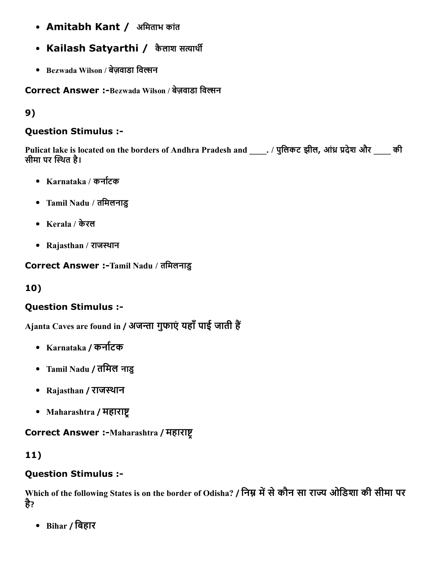- Amitabh Kant / अमिताभ कांत
- Kailash Satyarthi / कैलाश सत्यार्थी
- Bezwada Wilson / बेजवाडा विल्सन

Correct Answer :-Bezwada Wilson / बेज़वाडा विल्सन

# 9)

## Question Stimulus :

Pulicat lake is located on the borders of Andhra Pradesh and ... / पुलिकट झील, आंध्र प्रदेश और की सीमा पर स्थित है।

- Karnataka / कर्नाटक
- Tamil Nadu / तिमलनाडु
- Kerala / केरल
- Rajasthan / राजस्थान

## Correct Answer :-Tamil Nadu / तमिलनाडु

# 10)

# Question Stimulus :

Ajanta Caves are found in / अजन्ता गुफाएं यहाँ पाई जाती हैं

- Karnataka / कर्नाटक
- Tamil Nadu / तिमल नाडु
- Rajasthan / राजस्थान
- Maharashtra / महाराष्ट्र

## Correct Answer :-Maharashtra / महाराष्ट्र

# 11)

## Question Stimulus :

Which of the following States is on the border of Odisha? / निम्न में से कौन सा राज्य ओडिशा की सीमा पर है ?

Bihar / िबहार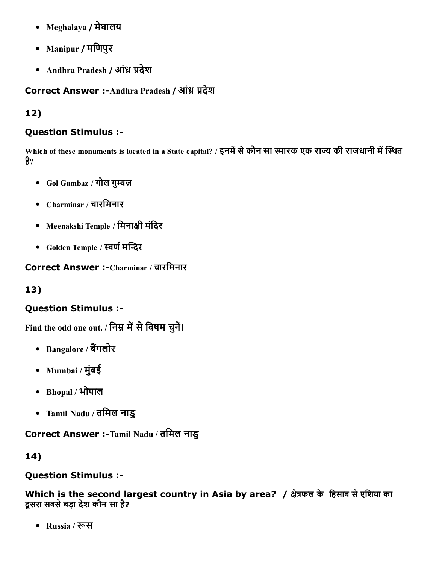- Meghalaya / मेघालय
- Manipur / मिणपुर
- Andhra Pradesh / आंध्र प्रदेश

Correct Answer :- Andhra Pradesh / आंध्र प्रदेश

# 12)

## Question Stimulus :

Which of these monuments is located in a State capital? / इनमें से कौन सा स्मारक एक राज्य की राजधानी में स्थित है?

- Gol Gumbaz / गोल गुम्बज़
- Charminar / चारिमनार
- Meenakshi Temple / मिनाक्षी मंदिर
- Golden Temple / स्वर्ण मन्दिर

Correct Answer :-Charminar / चारमिनार

# 13)

# Question Stimulus :

Find the odd one out. / निम्न में से विषम चुनें।

- Bangalore / बैंगलोर
- Mumbai / मुंबई
- Bhopal / भोपाल
- Tamil Nadu / तिमल नाडु

Correct Answer :-Tamil Nadu / तमिल नाडु

## 14)

## Question Stimulus :

Which is the second largest country in Asia by area? / क्षेत्रफल के हिसाब से एशिया का दूसरा सबसेबड़ा देश कौन सा है?

• Russia / रूस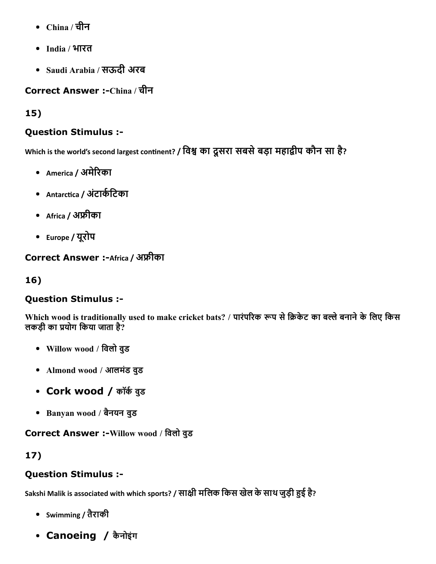- China / चीन
- India / भारत
- Saudi Arabia / सऊदी अरब

# Correct Answer :-China / चीन

15)

## Question Stimulus :

Which is the world's second largest continent? **/ विश्व का दूसरा सबसे बड़ा महाद्वीप कोन सा हे**?

- America / अमेरिका
- Antarctica / अंटार्कटिका
- Africa / अफ्रीका
- Europe / यूरोप

Correct Answer :- Africa / अफ्रीका

16)

## Question Stimulus :

Which wood is traditionally used to make cricket bats? / पारंपरिक रूप से क्रिकेट का बल्ले बनाने के लिए किस लकड़ी का प्रयोग किया जाता है?

- Willow wood / िवलो वुड
- Almond wood / आलमंड वुड
- Cork wood / कॉर्क वुड
- Banyan wood / बैनयन वुड

Correct Answer :-Willow wood / विलो वुड

# 17)

## Question Stimulus :

Sakshi Malik is associated with which sports? / साक्षी मलिक किस खेल के साथ जुड़ी हुई है?

- Swimming / तैराकी
- Canoeing / कैनोइंग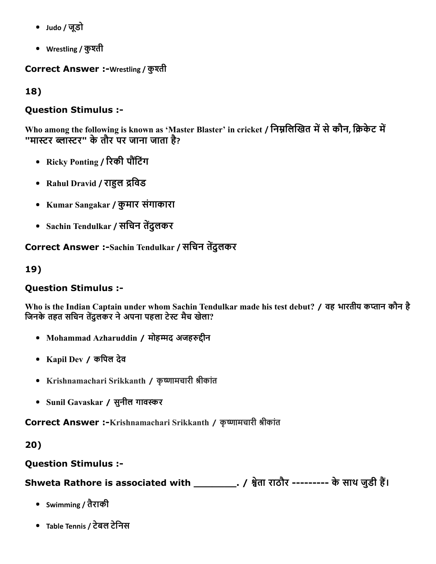- Judo / जूडो
- Wrestling / कुश्ती

Correct Answer :-Wrestling / कुश्ती

18)

## Question Stimulus :

Who among the following is known as 'Master Blaster' in cricket / निम्नलिखित में से कौन, क्रिकेट में "मास्टर ब्लास्टर" के तौर पर जाना जाता है?

- Ricky Ponting / रिकी पौंटिंग
- Rahul Dravid / राहुल द्रविड
- Kumar Sangakar / कुमार संगाकारा
- Sachin Tendulkar / सचिन तेंदुलकर

Correct Answer :-Sachin Tendulkar / सचिन तेंदुलकर

19)

## Question Stimulus :

Who is the Indian Captain under whom Sachin Tendulkar made his test debut? / वह भारतीय कप्तान कौन है जिनके तहत सचिन तेंदुलकर ने अपना पहला टेस्ट मैच खेला?

- Mohammad Azharuddin / मोहम्मद अजहरुद्दीन
- Kapil Dev / किपल देव
- Krishnamachari Srikkanth / कृष्णामचारी श्रीकांत
- Sunil Gavaskar / सुनील गावस्कर

Correct Answer :-Krishnamachari Srikkanth / कृष्णामचारी श्रीकांत

20)

## Question Stimulus :

Shweta Rathore is associated with \_\_\_\_\_\_\_\_\_\_\_. / श्वेता राठौर --------- के साथ जुडी हैं।

- Swimming / तैराकी
- Table Tennis / टेबल टेिनस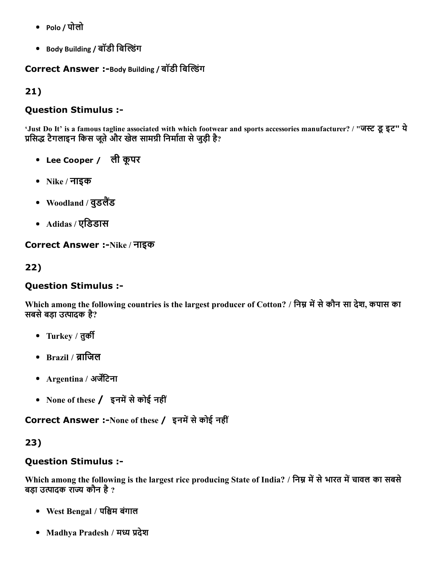- Polo / पोलो
- Body Building / बॉडी बिल्डिंग

Correct Answer :-Body Building / बॉडी बिल्डिंग

21)

#### Question Stimulus :

'Just Do It' is a famous tagline associated with which footwear and sports accessories manufacturer? / "जस्ट डू इट" ये प्रसिद्ध टैगलाइन किस जूते और खेल सामग्री निर्माता से जुड़ी है?

- Lee Cooper / ली कूपर
- Nike / नाइक
- $\bullet$  Woodland / वुडलैंड
- Adidas / एिडडास

Correct Answer :-Nike / नाइक

## 22)

## Question Stimulus :

Which among the following countries is the largest producer of Cotton? / निम्न में से कौन सा देश, कपास का सबसे बड़ा उत्पादक है?

- Turkey / तुर्की
- $\bullet$  Brazil / ब्राजिल
- Argentina / अर्जेंटिना
- None of these  $/$  इनमें से कोई नहीं

Correct Answer :-None of these / इनमें से कोई नहीं

## 23)

## Question Stimulus :

Which among the following is the largest rice producing State of India? / निम्न में से भारत में चावल का सबसे बड़ा उत्पादक राज्य कौन है ?

- West Bengal / पिȀम बंगाल
- Madhya Pradesh / मध्य प्रदेश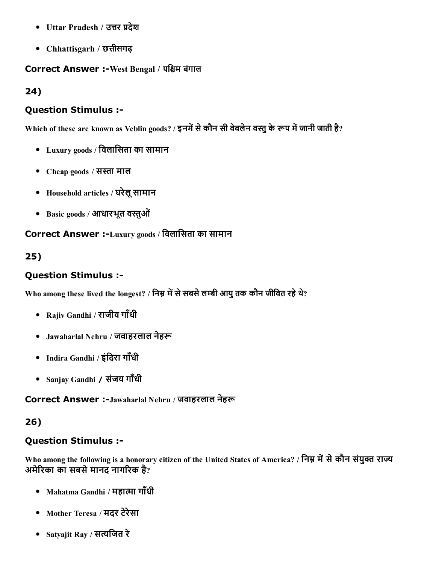- Uttar Pradesh / उत्तर प्रदेश
- Chhattisgarh / छत्तीसगढ़

#### Correct Answer :-West Bengal / पश्चिम बंगाल

24)

#### Question Stimulus :

Which of these are known as Veblin goods? / इनमें से कौन सी वेबलेन वस्तु के रूप में जानी जाती है?

- Luxury goods / िवलािसता का सामान
- Cheap goods / सस्ता माल
- Household articles / घरेलूसामान
- Basic goods / आधारभूत वस्तुओं

Correct Answer :-Luxury goods / विलासिता का सामान

## 25)

## Question Stimulus :

Who among these lived the longest? / निम्न में से सबसे लम्बी आयु तक कौन जीवित रहे थे?

- Rajiv Gandhi / राजीव गाँधी
- Jawaharlal Nehru / जवाहरलाल नेहरू
- Indira Gandhi / इंदिरा गाँधी
- Sanjay Gandhi / संजय गाँधी

Correct Answer :-Jawaharlal Nehru / जवाहरलाल नेहरू

## 26)

## Question Stimulus :

Who among the following is a honorary citizen of the United States of America? / निम्न में से कौन संयुक्त राज्य अमेरिका का सबसे मानद नागरिक है?

- Mahatma Gandhi / महात्मा गाँधी
- Mother Teresa / मदर टेरेसा
- Satyajit Ray / सत्यजित रे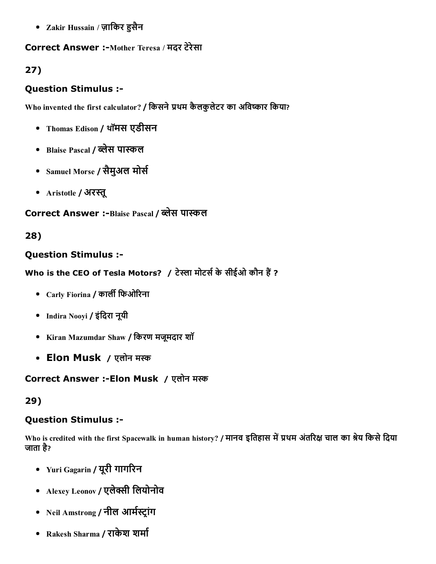• Zakir Hussain / ज़ाकिर हुसैन

#### Correct Answer :-Mother Teresa / मदर टेरेसा

# 27)

## Question Stimulus :

Who invented the first calculator? / किसने प्रथम कैलकुलेटर का अविष्कार किया?

- Thomas Edison / थॉमस एडीसन
- Blaise Pascal / ब्लेस पास्कल
- Samuel Morse / सैमुअल मोर्स
- Aristotle / अरस्तू

# Correct Answer :-Blaise Pascal / ब्लेस पास्कल

## 28)

#### Question Stimulus :

Who is the CEO of Tesla Motors? / टेस्ला मोटर्स के सीईओ कौन हैं ?

- Carly Fiorina / कार्ली फिओरिना
- Indira Nooyi / इंदिरा नूयी
- Kiran Mazumdar Shaw / िकरण मजूमदार शॉ
- Elon Musk / एलोन मस्क

## Correct Answer :- Elon Musk / एलोन मस्क

## 29)

## Question Stimulus :

Who is credited with the first Spacewalk in human history? / मानव इतिहास में प्रथम अंतरिक्ष चाल का श्रेय किसे दिया जाता है?

- Yuri Gagarin / यूरी गागरिन
- Alexey Leonov / एलेक्सी लियोनोव
- Neil Amstrong / नील आर्मस्ट्रांग
- Rakesh Sharma / राकेश शर्मा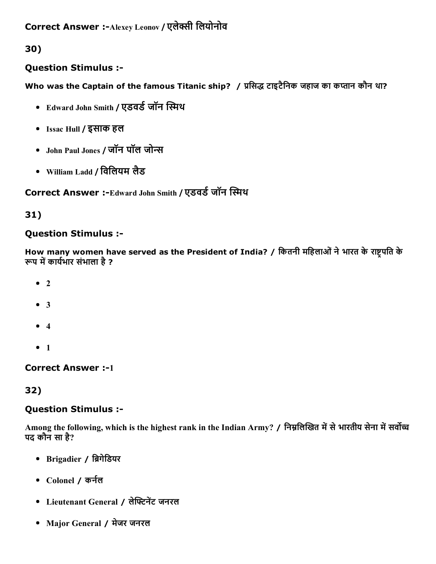## Question Stimulus :

Who was the Captain of the famous Titanic ship? / प्रसिद्ध टाइटैनिक जहाज का कप्तान कौन था?

- Edward John Smith / एडवर्ड जॉन स्मिथ
- Issac Hull / इसाक हल
- John Paul Jones / जॉन पॉल जोन्स
- William Ladd / िविलयम लैड

Correct Answer :-Edward John Smith / एडवर्ड जॉन स्मिथ

## 31)

## Question Stimulus :

How many women have served as the President of India? / कितनी महिलाओं ने भारत के राष्ट्रपति के रूप में कार्यभार संभाला है ?

- $\bullet$  2
- 3
- $4$
- $1$

**Correct Answer :-1** 

## 32)

## Question Stimulus :

Among the following, which is the highest rank in the Indian Army? / निम्नलिखित में से भारतीय सेना में सर्वोच्च पद कौन सा है?

- Brigadier / ब्रिगेडियर
- Colonel / कर्नल
- Lieutenant General / लेफ्टिनेंट जनरल
- Major General / मेजर जनरल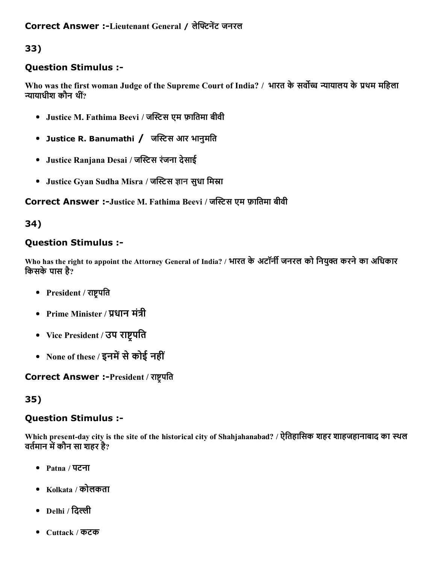## Question Stimulus :

Who was the first woman Judge of the Supreme Court of India? / भारत के सर्वोच्च न्यायालय के प्रथम महिला न्यायाधीश कौन थीं $^{\prime\prime}$ 

- Justice M. Fathima Beevi / जस्टिस एम फ़ातिमा बीवी
- Justice R. Banumathi / जस्टिस आर भानुमति
- Justice Ranjana Desai / जस्टिस रंजना देसाई
- Justice Gyan Sudha Misra / जस्टिस ज्ञान सुधा मिस्रा

#### Correct Answer :-Justice M. Fathima Beevi / जस्टिस एम फ़ातिमा बीवी

#### 34)

## Question Stimulus :

Who has the right to appoint the Attorney General of India? / भारत के अटॉर्नी जनरल को नियुक्त करने का अधिकार किसके पास है?

- President / राष्ट्रपति
- Prime Minister / प्रधान मंत्री
- Vice President / उप राष्ट्रपति
- None of these / इनमें से कोई नहीं

## Correct Answer :-President / राष्ट्रपति

## 35)

## Question Stimulus :

Which present-day city is the site of the historical city of Shahjahanabad? / ऐतिहासिक शहर शाहजहानाबाद का स्थल वर्तमान में कौन सा शहर है?

- Patna / पटना
- Kolkata / कोलकता
- Delhi / दिल्ली
- Cuttack / कटक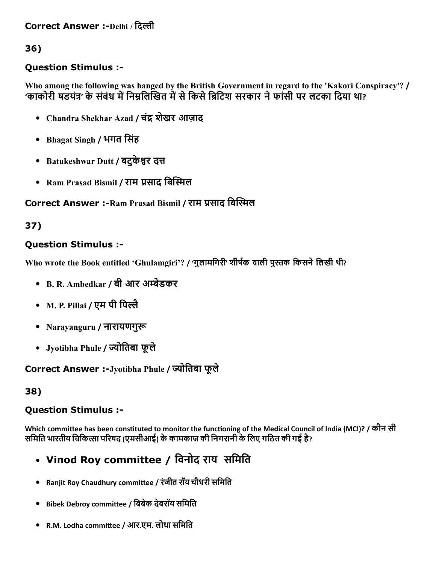Correct Answer :-Delhi / दिल्ली

36)

## Question Stimulus :

Who among the following was hanged by the British Government in regard to the 'Kakori Conspiracy'? / 'काकोरी षडयंत्र' के संबंध में निम्नलिखित में से किसे ब्रिटिश सरकार ने फांसी पर लटका दिया था?

- Chandra Shekhar Azad / चंद्र शेखर आज़ाद
- Bhagat Singh / भगत िसंह
- Batukeshwar Dutt / बटुकेश्वर दत्त
- Ram Prasad Bismil / राम प्रसाद बिस्मिल

## Correct Answer :-Ram Prasad Bismil / राम प्रसाद बिस्मिल

## 37)

## Question Stimulus :

Who wrote the Book entitled 'Ghulamgiri'? / 'गुलामगिरी' शीर्षक वाली पुस्तक किसने लिखी थी?

- B. R. Ambedkar / बी आर अम्बेडकर
- M. P. Pillai / एम पी पिल्लै
- Narayanguru / नारायणगुरू
- Jyotibha Phule / ज्योतिबा फूले

Correct Answer :-Jyotibha Phule / ज्योतिबा फूले

## 38)

## Question Stimulus :

Which committee has been constituted to monitor the functioning of the Medical Council of India (MCI)? / कौन सी समिति भारतीय चिकित्सा परिषद (एमसीआई) के कामकाज की निगरानी के लिए गठित की गई है?

- Vinod Roy committee / विनोद राय)समिति
- Ranjit Roy Chaudhury committee / रंजीत रॉय चौधरी समिति
- Bibek Debroy committee / बिबेक देबरॉय समिति
- R.M. Lodha committee / आर.एम. लोधा समिति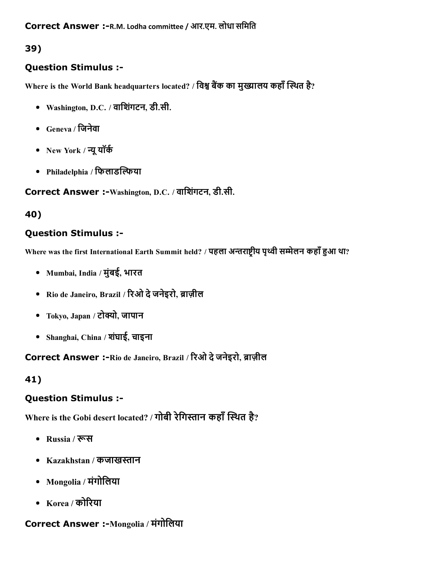## Question Stimulus :

Where is the World Bank headquarters located? / विश्व बैंक का मुख्यालय कहाँ स्थित है?

- Washington, D.C. / वािशगंटन, डी.सी.
- Geneva / िजनेवा
- New York / न्यू यॉर्क
- Philadelphia / फिलाडल्फिया

Correct Answer :-Washington, D.C. / वाशिंगटन, डी.सी.

## 40)

## Question Stimulus :

Where was the first International Earth Summit held? / पहला अन्तराष्ट्रीय पृथ्वी सम्मेलन कहाँ हुआ था?

- Mumbai, India / मुंबई, भारत
- Rio de Janeiro, Brazil / रिओ दे जनेइरो, ब्राज़ील
- Tokyo, Japan / टोक्यो, जापान
- Shanghai, China / शघंाई, चाइना

Correct Answer :-Rio de Janeiro, Brazil / रिओ दे जनेइरो, ब्राज़ील

# 41)

## Question Stimulus :

Where is the Gobi desert located? / गोबी रेगिस्तान कहाँ स्थित है?

- Russia / रूस
- Kazakhstan / कजाखस्तान
- Mongolia / मंगोिलया
- Korea / कोरिया

# Correct Answer :-Mongolia / मंगोलिया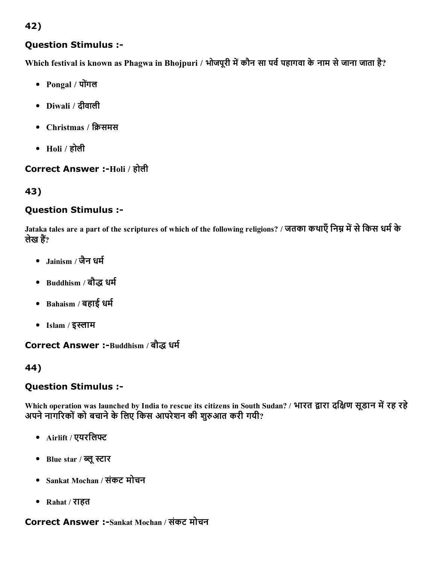## Question Stimulus :

Which festival is known as Phagwa in Bhojpuri / भोजपूरी में कौन सा पर्व पहागवा के नाम से जाना जाता है?

- Pongal / पोगंल
- Diwali / दीवाली
- Christmas / क्रिसमस
- $\bullet$  Holi / होली

#### Correct Answer :-Holi / होली

## 43)

#### Question Stimulus :

Jataka tales are a part of the scriptures of which of the following religions? / जतका कथाएँ निम्न में से किस धर्म के लेख हैं?

- $Jainism /$  जैन धर्म
- Buddhism / बौद्ध धर्म
- $\bullet$  Bahaism / बहाई धर्म
- $\bullet$  Islam / इस्लाम

Correct Answer :-Buddhism / बौद्ध धर्म

#### 44)

#### Question Stimulus :

Which operation was launched by India to rescue its citizens in South Sudan? / भारत द्वारा दक्षिण सूडान में रह रहे अपने नागरिकों को बचाने के लिए किस आपरेशन की शुरुआत करी गयी?

- Airlift / एयरलिफ्ट
- Blue star / ब्लू स्टार
- Sankat Mochan / संकट मोचन
- Rahat / राहत

## Correct Answer :-Sankat Mochan / संकट मोचन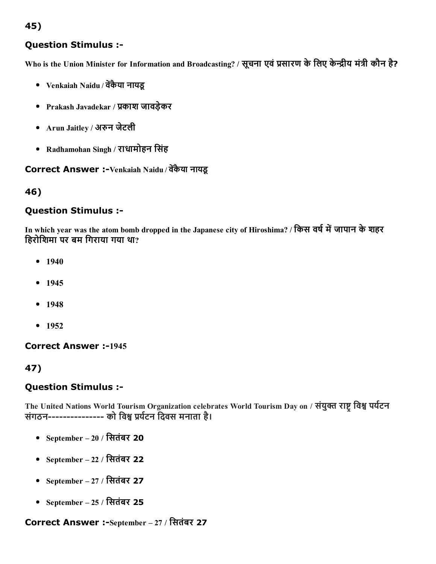## Question Stimulus :

Who is the Union Minister for Information and Broadcasting? / सूचना एवं प्रसारण के लिए केन्द्रीय मंत्री कौन है?

- Venkaiah Naidu / वेंकैया नायडू
- Prakash Javadekar / प्रकाश जावड़ेकर
- Arun Jaitley / अरुन जेटली
- Radhamohan Singh / राधामोहन िसंह

Correct Answer :-Venkaiah Naidu / वेंकैया नायडू

#### 46)

#### Question Stimulus :

In which year was the atom bomb dropped in the Japanese city of Hiroshima? / किस वर्ष में जापान के शहर िहरोिशमा पर बम िगराया गया था?

- $1940$
- $1945$
- $1948$
- $1952$

**Correct Answer :-1945** 

47)

#### Question Stimulus :

The United Nations World Tourism Organization celebrates World Tourism Day on / संयुक्त राष्ट विश्व पर्यटन संगठन--------------- को विश्व प्रर्यटन दिवस मनाता है।

- September 20 / िसतंबर 20
- September 22 / िसतंबर 22
- September 27 / िसतंबर 27
- September 25 / िसतंबर 25

#### Correct Answer :-September - 27 / सितंबर 27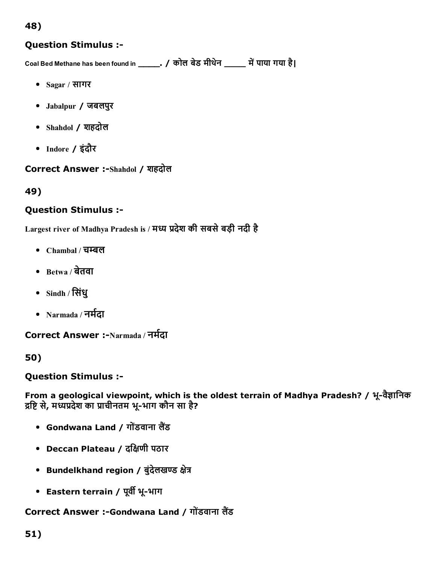#### Question Stimulus :

Coal Bed Methane has been found in \_\_\_\_\_\_. / कोल बेड मीथेन \_\_\_\_\_ में पाया गया है।

- Sagar / सागर
- Jabalpur / जबलपुर
- Shahdol / शहदोल
- Indore / इंदौर

Correct Answer :-Shahdol / शहदोल

49)

#### Question Stimulus :

Largest river of Madhya Pradesh is / मध्य प्रदेश की सबसे बड़ी नदी है

- $\bullet$  Chambal / चम्बल
- $\bullet$  Betwa / बेतवा
- Sindh / िसंधु
- Narmada / नर्मदा

Correct Answer :-Narmada / नर्मदा

50)

Question Stimulus :

From a geological viewpoint, which is the oldest terrain of Madhya Pradesh? / भू-वैज्ञानिक द्रष्टि से, मध्यप्रदेश का प्राचीनतम भू-भाग कौन सा है?

- Gondwana Land / गोंडवाना लैंड
- Deccan Plateau / दक्षिणी पठार
- Bundelkhand region / बुंदेलखण्ड क्षेत्र
- Eastern terrain / पूर्वी भू-भाग

Correct Answer :-Gondwana Land / गोंडवाना लैंड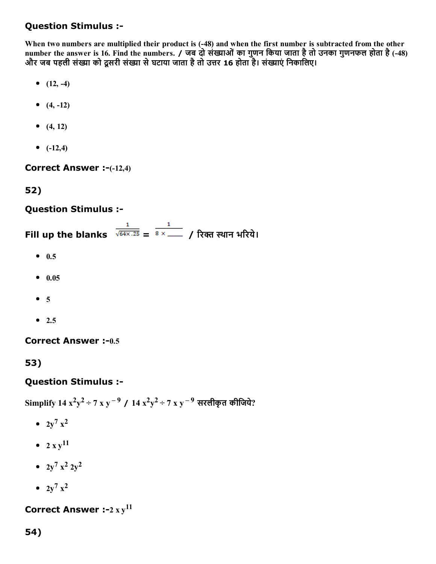When two numbers are multiplied their product is (48) and when the first number is subtracted from the other number the answer is 16. Find the numbers. / जब दो संख्याओं का गुणन किया जाता है तो उनका गुणनफल होता है (-48) और जब पहली संख्या को दूसरी संख्या से घटाया जाता है तो उत्तर 16 होता है। संख्याएं निकालिए।

- $(12, -4)$
- $(4, -12)$
- $(4, 12)$
- $(-12,4)$

Correct Answer :-(-12,4)

# 52)

## Question Stimulus :

Fill up the blanks  $\frac{1}{\sqrt{64 \times .25}} = \frac{1}{8 \times . . . .}$  / रिक्त स्थान भरिये।

- $0.5$
- $0.05$
- $5$
- $\bullet$  2.5

Correct Answer :-0.5

53)

## Question Stimulus :

Simplify 14  $x^2y^2 \div 7$  x y  $^{-9}$  / 14  $x^2y^2 \div 7$  x y  $^{-9}$  सरलीकृत कीजिये?

- $2y^7 x^2$
- $2xy^{11}$
- $2y^7$   $x^2$   $2y^2$
- $2y^7 x^2$

Correct Answer :-2  $xy^{11}$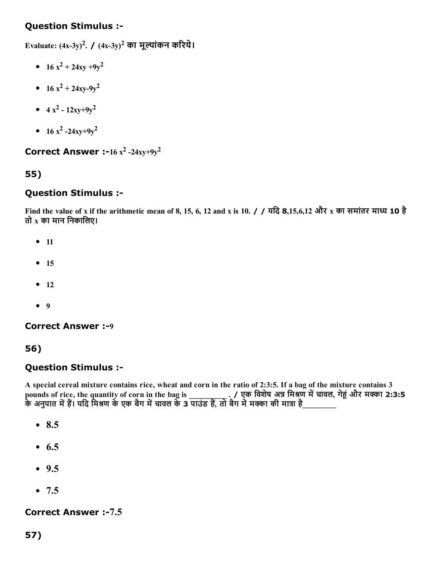Evaluate:  $(4x-3y)^2$ . /  $(4x-3y)^2$  का मूल्यांकन करिये।

- $16 x^2 + 24xy + 9y^2$
- $16 x^2 + 24xy-9y^2$
- $4x^2 12xy + 9y^2$
- $16 x^2 24xy + 9y^2$

Correct Answer :-16  $x^2$  -24xy+9y<sup>2</sup>

## 55)

#### Question Stimulus :

Find the value of x if the arithmetic mean of 8, 15, 6, 12 and x is 10. / / यदि 8,15,6,12 और x का समांतर माध्य 10 है तो  $x$  का मान निकालिए।

- $11$
- $15$
- $12$
- $9$

**Correct Answer :-9** 

56)

#### Question Stimulus :

A special cereal mixture contains rice, wheat and corn in the ratio of 2:3:5. If a bag of the mixture contains 3 pounds of rice, the quantity of corn in the bag is \_\_\_\_\_\_\_\_\_\_\_\_\_\_. / एक विशेष अन्न मिश्रण में चावल, गेहूं और मक्का 2:3:5 के अनुपात में हैं। यदि मिश्रण के एक बैग में चावल के 3 पाउंड हैं, तो बैग में मक्का की मात्रा है\_\_\_\_\_\_\_\_\_\_

- $8.5$
- $6.5$
- $9.5$
- $-7.5$

#### Correct Answer :-7.5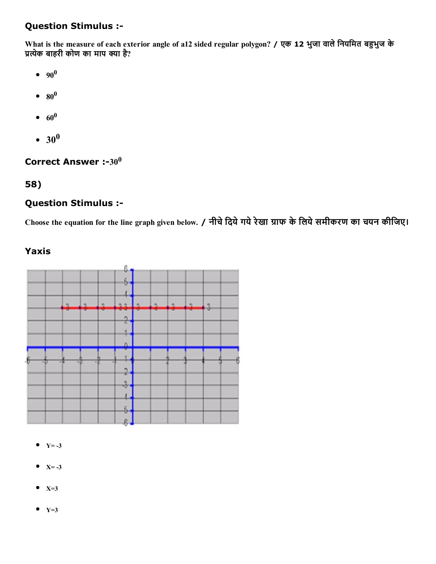What is the measure of each exterior angle of a12 sided regular polygon? / एक 12 भुजा वाले नियमित बहुभुज के प्रत्येक बाहरी कोण का माप क्या है?

- 90 0
- $\mathbf{80}^{0}$
- $60^0$
- $30^0$

Correct Answer :-30 $^0$ 

#### 58)

#### Question Stimulus :

Choose the equation for the line graph given below. / नीचे दिये गये रेखा ग्राफ के लिये समीकरण का चयन कीजिए।

#### Yaxis



- $Y = -3$
- $X = -3$
- $\bullet$  X=3
- $Y=3$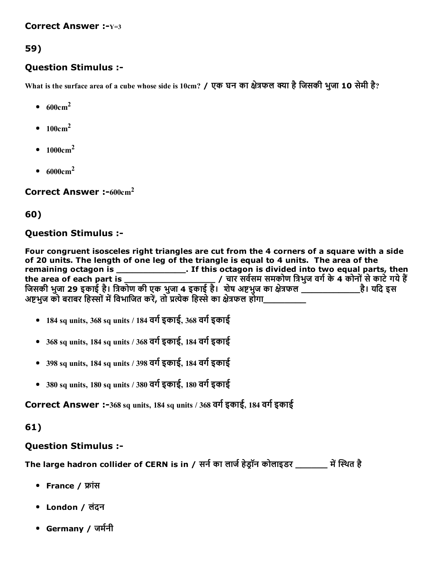#### Correct Answer :- $Y=3$

## 59)

#### Question Stimulus :

What is the surface area of a cube whose side is 10cm? / एक घन का क्षेत्रफल क्या है जिसकी भुजा 10 सेमी है?

- $\bullet$  600cm<sup>2</sup>
- $\bullet$  100cm<sup>2</sup>
- $1000 \text{cm}^2$
- $\bullet$  6000cm<sup>2</sup>

Correct Answer  $:600 \text{cm}^2$ 

#### 60)

#### Question Stimulus :

Four congruent isosceles right triangles are cut from the 4 corners of a square with a side of 20 units. The length of one leg of the triangle is equal to 4 units. The area of the remaining octagon is \_\_\_\_\_\_\_\_\_\_\_\_\_\_\_\_\_\_. If this octagon is divided into two equal parts, then the area of each part is \_\_\_\_\_\_\_\_\_\_\_\_\_\_\_\_\_ / चार सव㸭Āसम समकोण िĀभुज वग㸭Āके4 कोनोंसेकाटेगयेह阮Ā जिसकी भुजा 29 इकाई है। त्रिकोण की एक भुजा 4 इकाई है। शेष अष्टभुज का क्षेत्रफल \_\_\_\_\_\_\_\_\_\_\_\_\_\_\_है। यदि इस अष्टभज को बराबर हिस्सों में विभाजित करें. तो प्रत्येक हिस्से का क्षेत्रफल होगा\_

- $184$  sq units, 368 sq units / 184 वर्ग इकाई, 368 वर्ग इकाई
- $\bullet$  368 sq units, 184 sq units / 368 वर्ग इकाई, 184 वर्ग इकाई
- 398 sq units, 184 sq units / 398 वर्ग इकाई, 184 वर्ग इकाई
- $\bullet$  380 sq units, 180 sq units / 380 वर्ग इकाई, 180 वर्ग इकाई

Correct Answer :-368 sq units, 184 sq units / 368 वर्ग इकाई, 184 वर्ग इकाई

## 61)

## Question Stimulus :

The large hadron collider of CERN is in / सर्न का लार्ज हेड्रॉन कोलाइडर \_\_\_\_\_\_\_ में स्थित है

- France / फ्रांस
- London / लंदन
- Germany / जर्मनी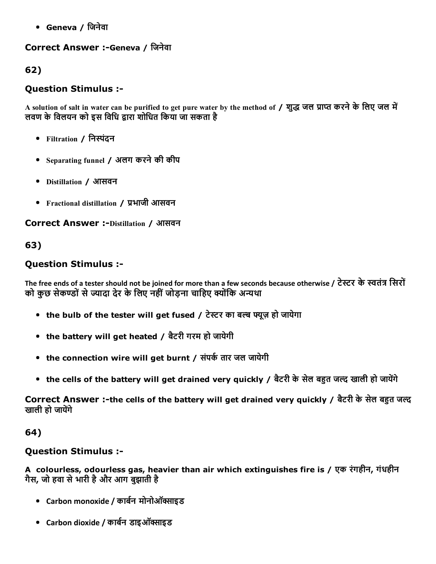Geneva / िजनेवा

## Correct Answer :-Geneva / जिनेवा

62)

# Question Stimulus :

A solution of salt in water can be purified to get pure water by the method of / शुद्ध जल प्राप्त करने के लिए जल में लवण के विलयन को इस विधि द्वारा शोधित किया जा सकता है

- Filtration / निस्पंदन
- Separating funnel / अलग करनेकी कीप
- Distillation / आसवन
- Fractional distillation / प्रभाजी आसवन

**Correct Answer :-Distillation / आसवन** 

## 63)

## Question Stimulus :

The free ends of a tester should not be joined for more than a few seconds because otherwise / टेस्टर के स्वतंत्र सिरों को कुछ सेकण्डों से ज्यादा देर के लिए नहीं जोड़ना चाहिए क्योंकि अन्यथा

- the bulb of the tester will get fused / टेस्टर का बल्ब फ्यूज़ हो जायेगा
- the battery will get heated / बैटरी गरम हो जायेगी
- the connection wire will get burnt / संपर्क तार जल जायेगी
- the cells of the battery will get drained very quickly / बैटरी के सेल बहुत जल्द खाली हो जायेंगे

Correct Answer :-the cells of the battery will get drained very quickly / बैटरी के सेल बहुत जल्द खाली हो जायेंगे

## 64)

# Question Stimulus :

A colourless, odourless gas, heavier than air which extinguishes fire is / एक रंगहीन, गंधहीन गैस, जो हवा सेभारी हैऔर आग बुझाती है

- Carbon monoxide / कार्बन मोनोऑक्साइड
- Carbon dioxide / कार्बन डाइऑक्साइड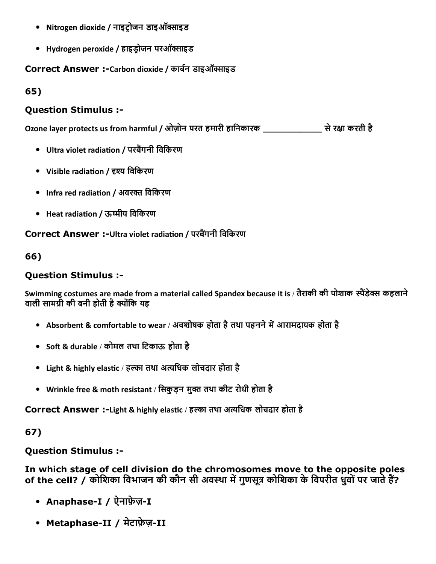- Nitrogen dioxide / नाइट्रोजन डाइऑक्साइड
- Hydrogen peroxide / हाइड्रोजन परऑक्साइड

Correct Answer :-Carbon dioxide / कार्बन डाइऑक्साइड

65)

## Question Stimulus :

Ozone layer protects us from harmful / ओज़ोन परत हमारी हािनकारक \_\_\_\_\_\_\_\_\_\_\_ सेरꉈĀा करती है

- Ultra violet radiation / परबैंगनी विकिरण
- Visible radiation / दृश्य विकिरण
- Infra red radiation / अवरक्त विकिरण
- Heat radiation / ऊष्मीय विकिरण

Correct Answer :-Ultra violet radiation / परबैंगनी विकिरण

66)

## Question Stimulus :

Swimming costumes are made from a material called Spandex because it is / तैराकी की पोशाक स्पैंडेक्स कहलाने वाली सामग्री की बनी होती है क्योंकि यह

- Absorbent & comfortable to wear / अवशोषक होता है तथा पहनने में आरामदायक होता है
- Soft & durable / कोमल तथा टिकाऊ होता है
- Light & highly elastic / हल्का तथा अत्यधिक लोचदार होता है
- Wrinkle free & moth resistant / सिकुड़न मुक्त तथा कीट रोधी होता है

Correct Answer :-Light & highly elastic / हल्का तथा अत्यधिक लोचदार होता है

## 67)

## Question Stimulus :

In which stage of cell division do the chromosomes move to the opposite poles of the cell? / कोशिका विभाजन की कौन सी अवस्था में गुणसूत्र कोशिका के विपरीत धुवों पर जाते हैं?

- Anaphase-I / ऐनाफ़ेज़-I
- Metaphase-II / मेटाफ़ेज़-II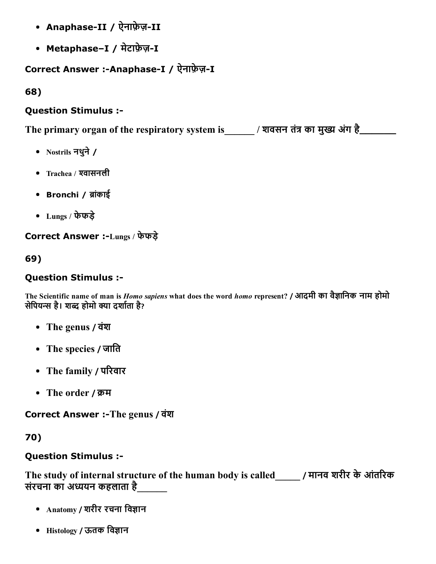- Anaphase-II / ऐनाफ़ेज़-II
- Metaphase-I / मेटाफ़ेज़-I

# Correct Answer :-Anaphase-I / ऐनाफ़ेज़-I

68)

## Question Stimulus :

The primary organ of the respiratory system is  $\blacksquare$  / शवसन तंत्र का मुख्य अंग है\_\_\_\_\_\_\_\_

- Nostrils नथुने/
- Trachea / श्वासनली
- Bronchi / ब्रांकाई
- Lungs / फेफड़े

Correct Answer :Lungs / फेफड़े

69)

## Question Stimulus :

The Scientific name of man is *Homo sapiens* what does the word *homo* represent? / आदमी का वैज्ञानिक नाम होमो सेपियन्स है। शब्द होमो क्या दर्शाता है?

- The genus / वंश
- The species / जाति
- The family / परिवार
- The order / क्रम

Correct Answer :-The genus / वंश

70)

## Question Stimulus :

The study of internal structure of the human body is called\_\_\_\_\_\_ / मानव शरीर के आंतरिक संरचना का अध्ययन कहलाता है

- Anatomy / शरीर रचना विज्ञान
- Histology / ऊतक विज्ञान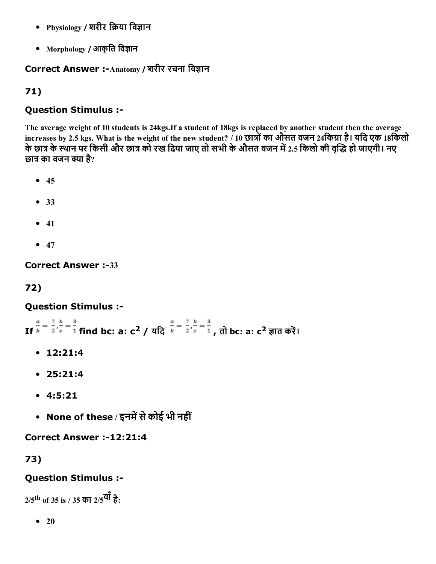- Physiology / शरीर क्रिया विज्ञान
- Morphology / आकृति विज्ञान

# Correct Answer :-Anatomy / शरीर रचना विज्ञान

# 71)

## Question Stimulus :

The average weight of 10 students is 24kgs.If a student of 18kgs is replaced by another student then the average increases by 2.5 kgs. What is the weight of the new student? / 10 छात्रों का औसत वजन 24किग्रा है। यदि एक 18किलो के छात्र के स्थान पर किसी और छात्र को रख दिया जाए तो सभी के औसत वजन में 2.5 किलो की वृद्धि हो जाएगी। नए छात्र का वजन क्या है?

- $45$
- 33
- $41$
- $47$

**Correct Answer :-33** 

# 72)

## Question Stimulus :

If  $\frac{1}{b} = \frac{1}{2}$ ,  $\frac{1}{c} = \frac{1}{1}$  find bc: a: c<sup>2</sup> / यदि  $\frac{1}{b} = \frac{1}{2}$ ,  $\frac{1}{c} = \frac{1}{1}$ , तो bc: a: c<sup>2</sup> ज्ञात करें।

- 12:21:4
- 25:21:4
- 4:5:21
- None of these / इनमें से कोई भी नहीं

Correct Answer :-12:21:4

73)

# Question Stimulus :

 $\rm 2/5^{th}$  of 35 is / 35 का  $\rm 2/5^{\overline d \overline l}$  है:

 $\bullet$  20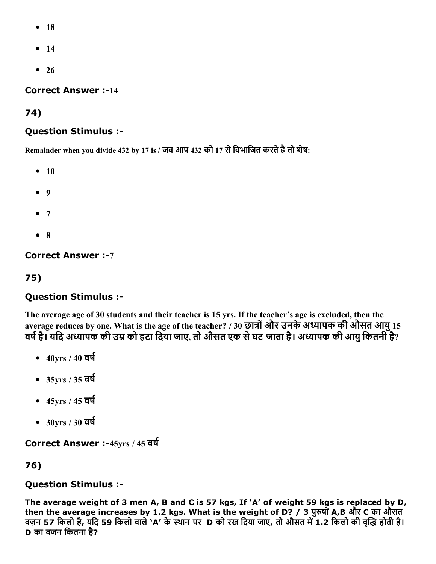- $18$
- $14$
- $26$

**Correct Answer :-14** 

74)

#### Question Stimulus :

Remainder when you divide 432 by 17 is / जब आप 432 को 17 से विभाजित करते हैं तो शेष:

- $10$
- 9
- $7$
- $8$

**Correct Answer :-7** 

75)

## Question Stimulus :

The average age of 30 students and their teacher is 15 yrs. If the teacher's age is excluded, then the average reduces by one. What is the age of the teacher? / 30 छात्रों और उनके अध्यापक की औसत आयु 15 वर्ष है। यदि अध्यापक की उम्र को हटा दिया जाए, तो औसत एक से घट जाता है। अध्यापक की आयु कितनी है?

- $-40$ yrs /  $40$  वर्ष
- $-35yrs/35$  वर्ष
- $-45$ yrs /  $45$  वर्ष
- $-30yrs/30$  वर्ष

Correct Answer :-45yrs / 45 वर्ष

76)

#### Question Stimulus :

The average weight of 3 men A, B and C is 57 kgs, If 'A' of weight 59 kgs is replaced by D, then the average increases by 1.2 kgs. What is the weight of D? / 3 पुरुषों A,B और C का औसत वज़न 57 किलो है, यदि 59 किलो वाले 'A' के स्थान पर D को रख दिया जाए, तो औसत में 1.2 किलो की वृद्धि होती है। D का वजन िकतना है?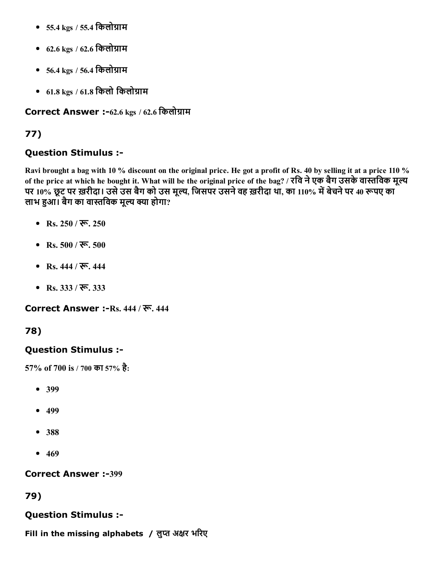- $\bullet$  55.4 kgs / 55.4 किलोग्राम
- $62.6 \text{ kgs} / 62.6$  किलोग्राम
- $\bullet$  56.4 kgs / 56.4 किलोग्राम
- $61.8 \text{ kgs}$  /  $61.8$  किलो किलोग्राम

Correct Answer :-62.6 kgs / 62.6 किलोग्राम

# 77)

## Question Stimulus :

Ravi brought a bag with 10 % discount on the original price. He got a profit of Rs. 40 by selling it at a price 110 % of the price at which he bought it. What will be the original price of the bag? / रवि ने एक बैग उसके वास्तविक मूल्य पर 10% छूट पर ख़रीदा। उसे उस बैग को उस मूल्य, जिसपर उसने वह ख़रीदा था, का 110% में बेचने पर 40 रूपए का लाभ हुआ। बैग का वास्तविक मूल्य क्या होगा?

- Rs. 250 / रू. 250
- Rs.  $500 / \overline{\mathcal{R}}$ ,  $500$
- Rs.  $444 / \overline{\mathcal{R}}$ ,  $444$
- Rs.  $333 / \overline{36}$ ,  $333$

Correct Answer :-Rs. 444 / रू. 444

## 78)

## Question Stimulus :

57% of 700 is / 700 का 57% है:

- 399
- $-499$
- 388
- $469$

**Correct Answer :-399** 

## 79)

## Question Stimulus :

Fill in the missing alphabets / लुप्त अक्षर भरिए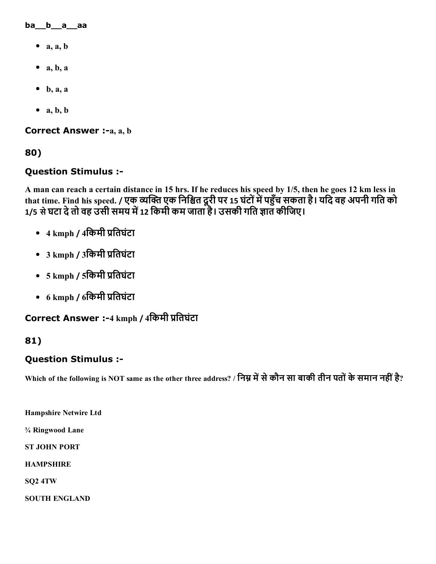ba\_\_b\_\_a\_\_aa

- $\bullet$  a, a, b
- $\bullet$  a, b, a
- $\bullet$  b, a, a
- $\bullet$  a, b, b

Correct Answer :-a, a, b

80)

#### Question Stimulus :

A man can reach a certain distance in 15 hrs. If he reduces his speed by 1/5, then he goes 12 km less in that time. Find his speed. / एक व्यक्ति एक निश्चित दूरी पर 15 घंटों में पहुंच सकता है। यदि वह अपनी गति को 1/5 से घटा दे तो वह उसी समय में 12 किमी कम जाता है। उसकी गति ज्ञात कीजिए।

- 4 kmph / 4किमी प्रतिघंटा
- 3 kmph / 3किमी प्रतिघंटा
- 5 kmph / 5किमी प्रतिघंटा
- 6 kmph / 6िकमी 䐴Āितघंटा

**Correct Answer :-**4 kmph / 4किमी प्रतिघंटा

#### 81)

#### Question Stimulus :

Which of the following is NOT same as the other three address? / निम्न में से कौन सा बाकी तीन पतों के समान नहीं है?

Hampshire Netwire Ltd

¾ Ringwood Lane

ST JOHN PORT

**HAMPSHIRE** 

SQ2 4TW

SOUTH ENGLAND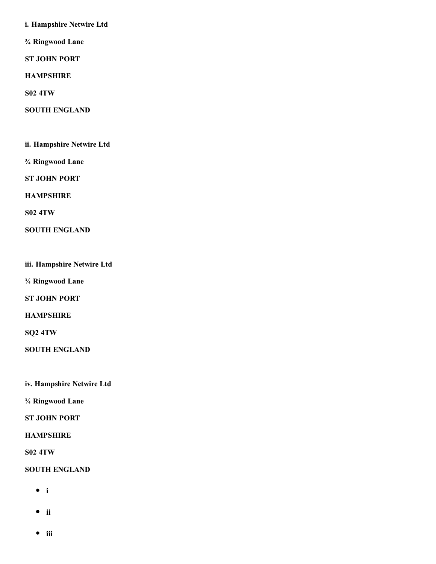i. Hampshire Netwire Ltd

¾ Ringwood Lane

ST JOHN PORT

**HAMPSHIRE** 

S02 4TW

SOUTH ENGLAND

ii. Hampshire Netwire Ltd

¾ Ringwood Lane

ST JOHN PORT

HAMPSHIRE

S02 4TW

SOUTH ENGLAND

iii. Hampshire Netwire Ltd

¾ Ringwood Lane

ST JOHN PORT

**HAMPSHIRE** 

SQ2 4TW

SOUTH ENGLAND

iv. Hampshire Netwire Ltd

¾ Ringwood Lane

ST JOHN PORT

HAMPSHIRE

S02 4TW

SOUTH ENGLAND

- $\bullet$  i
- ii
- $\bullet$  iii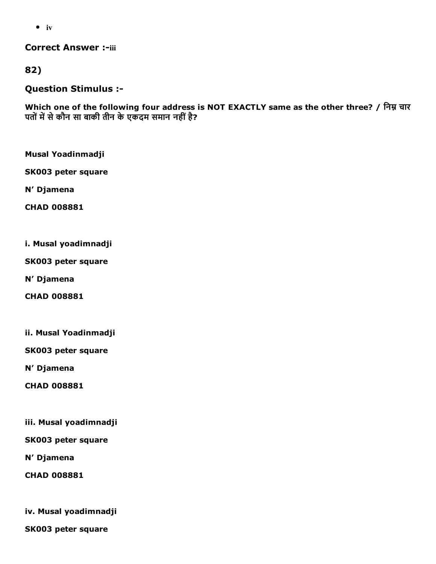$\bullet$  iv

**Correct Answer :-iii** 

82)

Question Stimulus :

Which one of the following four address is NOT EXACTLY same as the other three? / निम्न चार पतों में से कौन सा बाकी तीन के एकदम समान नहीं है?

Musal Yoadinmadji

SK003 peter square

N' Djamena

CHAD 008881

i. Musal yoadimnadji

SK003 peter square

N' Djamena

CHAD 008881

ii. Musal Yoadinmadji

SK003 peter square

N' Djamena

CHAD 008881

iii. Musal yoadimnadji

SK003 peter square

N' Djamena

CHAD 008881

iv. Musal yoadimnadji

SK003 peter square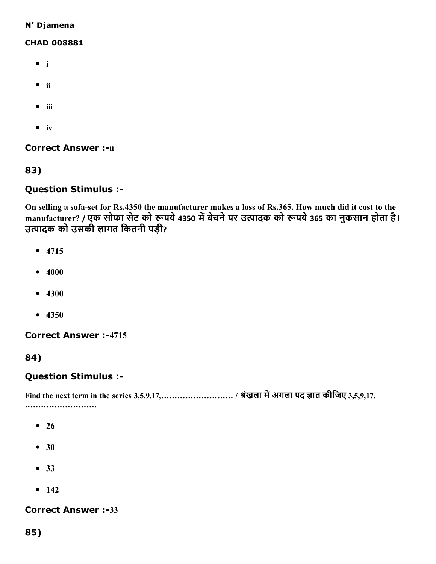#### N' Djamena

#### CHAD 008881

- $\bullet$  i
- ii
- $\bullet$  iii
- $\bullet$  iv

**Correct Answer :-ii** 

83)

#### Question Stimulus :

On selling a sofa-set for Rs.4350 the manufacturer makes a loss of Rs.365. How much did it cost to the manufacturer? / एक सोफा सेट को रूपये 4350 में बेचने पर उत्पादक को रूपये 365 का नुकसान होता है। उत्पादक को उसकी लागत कितनी पड़ी?

- $4715$
- $4000$
- $4300$
- $4350$

#### **Correct Answer :-4715**

84)

#### Question Stimulus :

Find the next term in the series 3,5,9,17,……………………… / Āंखला मᘮĀअगला पद ṢĀात कीिजए 3,5,9,17, ……………………………

- $26$
- 30
- 33
- $142$

**Correct Answer :-33**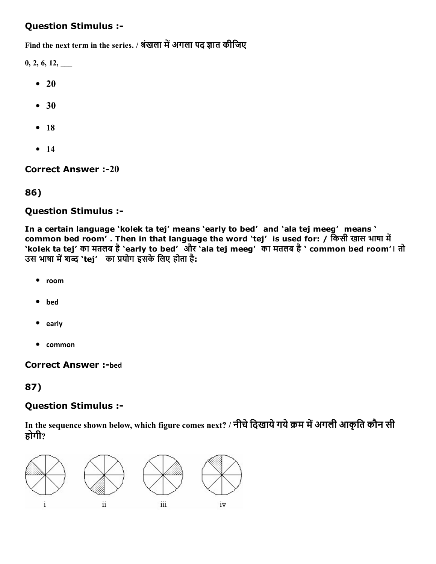# Question Stimulus :

Find the next term in the series. / श्रंखला में अगला पद ज्ञात कीजिए

 $0, 2, 6, 12, \_\_$ 

- $\bullet$  20
- 30
- $18$
- $14$

**Correct Answer :-20** 

#### 86)

#### Question Stimulus :

In a certain language 'kolek ta tej' means 'early to bed' and 'ala tej meeg' means ' common bed room'. Then in that language the word 'tej' is used for: / किसी खास भाषा में 'kolek ta tej' का मतलब है'early to bed' और 'ala tej meeg' का मतलब है' common bed room'। तो उस भाषा में शब्द `tej' का प्रयोग इसके लिए होता है:

- $\bullet$ room
- bed
- early
- common

#### **Correct Answer :-bed**

## 87)

## Question Stimulus :

In the sequence shown below, which figure comes next? / नीचे दिखाये गये क्रम में अगली आकृति कौन सी होगी?

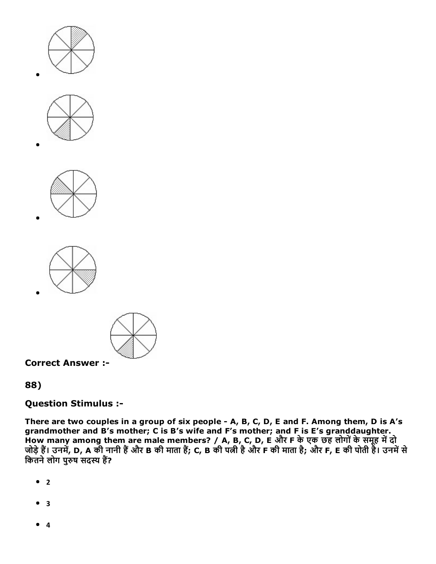









Correct Answer :

# 88)

## Question Stimulus :

There are two couples in a group of six people - A, B, C, D, E and F. Among them, D is A's grandmother and B's mother; C is B's wife and F's mother; and F is E's granddaughter. How many among them are male members? / A, B, C, D, E और F के एक छह लोगों के समूह में दो जोड़े हैं। उनमें, D, A की नानी हैं और B की माता है; C, B की पत्नी है और F की माता है; और F, E की पोती है। उनमें से कितने लोग पुरुष सदस्य हैं?

- $^{\bullet}$  2
- $3$
- 4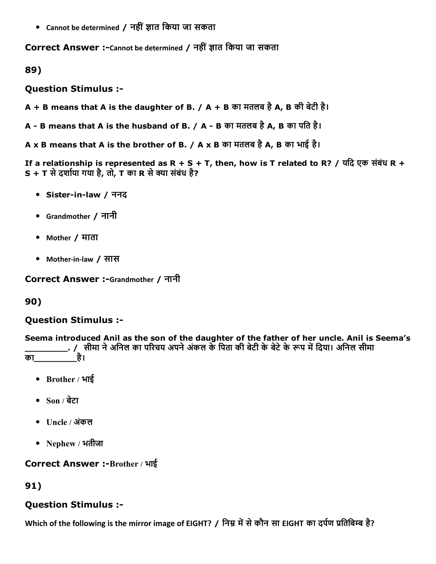$\bullet$  Cannot be determined / नहीं ज्ञात किया जा सकता

Correct Answer :-Cannot be determined / नहीं ज्ञात किया जा सकता

89)

Question Stimulus :

A + B means that A is the daughter of B. / A + B का मतलब है A, B की बेटी है।

A - B means that A is the husband of B. / A - B का मतलब है A, B का पति है।

A x B means that A is the brother of B. / A x B का मतलब है A, B का भाई है।

If a relationship is represented as R + S + T, then, how is T related to R? / यदि एक संबंध R +  $S + T$  से दर्शाया गया है, तो, T का R से क्या संबंध है?

- Sister-in-law / ननद
- Grandmother / नानी
- Mother / माता
- Mother-in-law / सास

Correct Answer :-Grandmother / नानी

## 90)

## Question Stimulus :

Seema introduced Anil as the son of the daughter of the father of her uncle. Anil is Seema's . / सीमा ने अनिल का परिचय अपने अंकल के पिता की बेटी के बेटे के रूप में दिया। अनिल सीमा का\_\_\_\_\_\_\_\_है।

- Brother / भाई
- Son / बेटा
- Uncle / अंकल
- Nephew / भतीजा

## Correct Answer :-Brother / भाई

91)

## Question Stimulus :

Which of the following is the mirror image of EIGHT? / निम्न में से कौन सा EIGHT का दर्पण प्रतिबिम्ब है?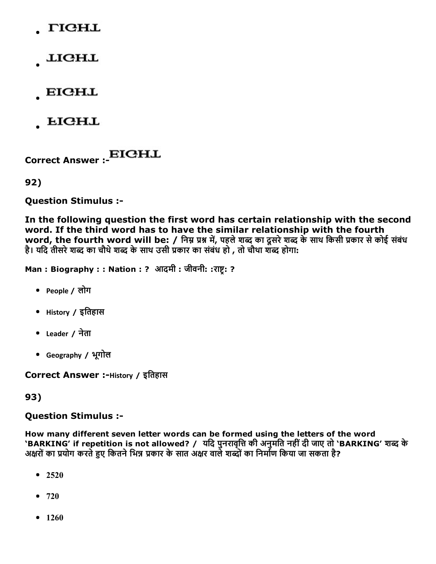- **TIGHL**
- **LIGHL**
- **EIGHL**
- **LIGHL**

Correct Answer :

92)

Question Stimulus :

In the following question the first word has certain relationship with the second word. If the third word has to have the similar relationship with the fourth word, the fourth word will be: / निम्न प्रश्न में, पहले शब्द का दूसरे शब्द के साथ किसी प्रकार से कोई संबंध है। यदि तीसरे शब्द का चौथे शब्द के साथ उसी प्रकार का संबंध हो , तो चौथा शब्द होगा:

Man : Biography : : Nation : ? आदमी : जीवनी: :राष्ट्र: ?

- People / लोग
- History / इितहास
- Leader / नेता
- Geography / भूगोल

Correct Answer :-History / इतिहास

93)

#### Question Stimulus :

How many different seven letter words can be formed using the letters of the word 'BARKING' if repetition is not allowed? / यदि पुनरावृत्ति की अनुमति नहीं दी जाए तो 'BARKING' शब्द के अक्षरों का प्रयोग करते हुए कितने भिन्न प्रकार के सात अक्षर वाले शब्दों का निर्माण किया जा सकता है?

- $2520$
- $720$
- $1260$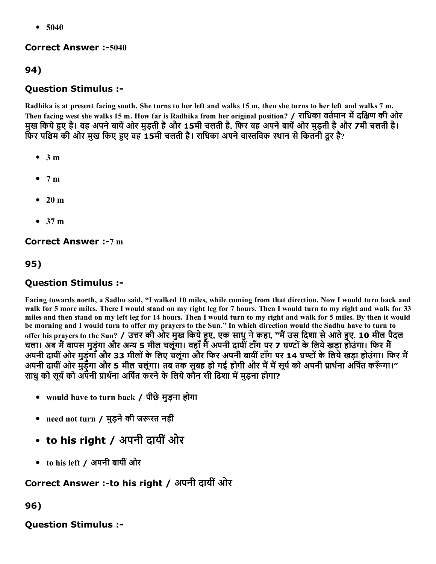$• 5040$ 

#### **Correct Answer :-5040**

# 94)

## Question Stimulus :

Radhika is at present facing south. She turns to her left and walks 15 m, then she turns to her left and walks 7 m. Then facing west she walks 15 m. How far is Radhika from her original position? / राधिका वर्तमान में दक्षिण की ओर मुख किये हुए है। वह अपने बायें ओर मुड़ती है और 15मी चलती है, फिर वह अपने बायें ओर मुड़ती है और 7मी चलती है। फिर पश्चिम की ओर मुख किए हुए वह 15मी चलती है। राधिका अपने वास्तविक स्थान से कितनी दूर है?

- $\bullet$  3 m
- $7 m$
- 20 m
- 37 m

#### **Correct Answer :-7 m**

#### 95)

#### Question Stimulus :

Facing towards north, a Sadhu said, "I walked 10 miles, while coming from that direction. Now I would turn back and walk for 5 more miles. There I would stand on my right leg for 7 hours. Then I would turn to my right and walk for 33 miles and then stand on my left leg for 14 hours. Then I would turn to my right and walk for 5 miles. By then it would be morning and I would turn to offer my prayers to the Sun." In which direction would the Sadhu have to turn to offer his prayers to the Sun? / उत्तर की ओर मुख किये हुए, एक साधु ने कहा, "मैं उस दिशा से आते हुए, 10 मील पैदल चला। अब मैं वापस मुड़ुंगा और अन्य 5 मील चलूंगा। वहाँ मैं अपनी दायीं टाँग पर 7 घण्टों के लिये खड़ा होउंगा। फिर मैं अपनी दायीं ओर मुड़ंगाँ और 33 मीलों के लिए चलूंगा और फिर अपनी बायीं टाँग पर 14 घण्टों के लिये खड़ा होउंगा। फिर मैं अपनी दायीं ओर मुड़ेंगा और 5 मील चलूंगा। तब तक सुबह हो गई होगी और मैं मैं सूर्य को अपनी प्रार्थना अर्पित करूँगा।" साधु को सूर्य को अपनी प्रार्थना अर्पित करने के लिये कौन सी दिशा में मुड़ना होगा?

- would have to turn back / पीछेमुड़ना होगा
- need not turn / मुड़ने की जरूरत नहीं
- to his right / अपनी दायीं ओर
- to his left / अपनी बायींओर

# Correct Answer :-to his right / अपनी दायीं ओर

#### 96)

## Question Stimulus :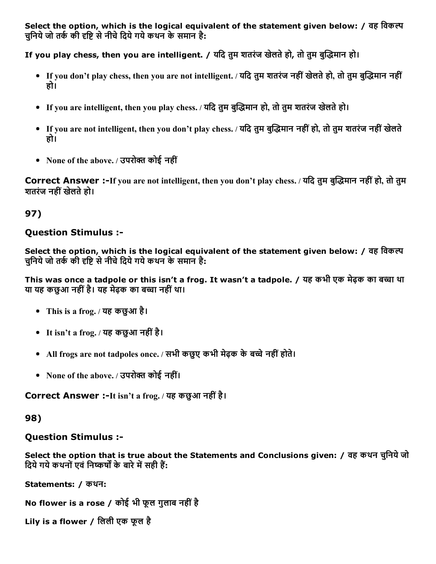Select the option, which is the logical equivalent of the statement given below: / वह विकल्प चुनिये जो तर्क की दृष्टि से नीचे दिये गये कथन के समान है:

If you play chess, then you are intelligent. / यदि तुम शतरंज खेलते हो, तो तुम बुद्धिमान हो।

- If you don't play chess, then you are not intelligent. / यदि तुम शतरंज नहीं खेलते हो, तो तुम बुद्धिमान नहीं हो।
- If you are intelligent, then you play chess. / यदि तुम बुद्धिमान हो, तो तुम शतरंज खेलते हो।
- If you are not intelligent, then you don't play chess. / यदि तुम बुद्धिमान नहीं हो, तो तुम शतरंज नहीं खेलते हो।
- None of the above. / उपरोक्त कोई नहीं

Correct Answer :-If you are not intelligent, then you don't play chess. / यदि तुम बुद्धिमान नहीं हो, तो तुम शतरंज नहींखलेतेहो।

# 97)

# Question Stimulus :

Select the option, which is the logical equivalent of the statement given below: / वह विकल्प चनिये जो तर्क की दृष्टि से नीचे दिये गये कथन के समान है:

This was once a tadpole or this isn't a frog. It wasn't a tadpole. / यह कभी एक मेढक का बच्चा था या यह कछुआ नहीं है। यह मेढ़क का बच्चा नहीं था।

- This is a frog. / यह कछुआ है।
- It isn't a frog. / यह कछुआ नहींहै।
- All frogs are not tadpoles once. / सभी कछुए कभी मेढ़क के बच्चे नहीं होते।
- None of the above. / उपरोक्त कोई नहीं।

Correct Answer :-It isn't a frog. / यह कछुआ नहीं है।

## 98)

# Question Stimulus :

Select the option that is true about the Statements and Conclusions given: / वह कथन चुिनयेजो दिये गये कथनों एवं निष्कर्षों के बारे में सही हैं:

Statements: / कथन:

No flower is a rose / कोई भी फूल गुलाब नहींहै

Lily is a flower / िलली एक फूल है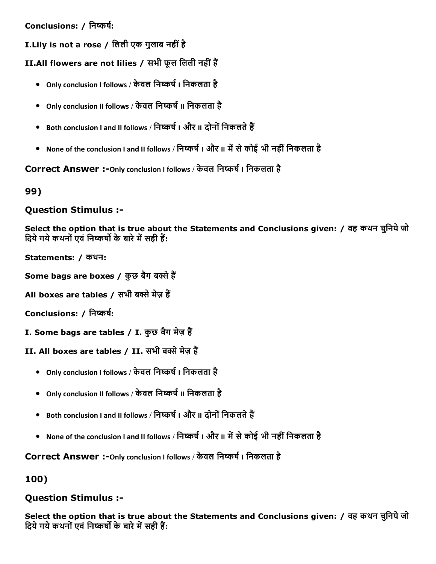## Conclusions: / निष्कर्ष:

I.Lily is not a rose / िलली एक गुलाब नहींहै

II.All flowers are not lilies / सभी फूल लिली नहीं हैं

- Only conclusion I follows / केवल निष्कर्ष । निकलता है
- Only conclusion II follows / केवल निष्कर्ष II निकलता है
- Both conclusion I and II follows / निष्कर्ष I और II दोनों निकलते हैं
- None of the conclusion I and II follows / निष्कर्ष I और II में से कोई भी नहीं निकलता है

Correct Answer :-Only conclusion I follows / केवल निष्कर्ष । निकलता है

99)

## Question Stimulus :

Select the option that is true about the Statements and Conclusions given: / वह कथन चुिनयेजो दिये गये कथनों एवं निष्कर्षों के बारे में सही हैं:

Statements: / कथन:

Some bags are boxes / कुछ बैग बक्से हैं

All boxes are tables / सभी बक्से मेज़ हैं

Conclusions: / निष्कर्ष:

- I. Some bags are tables / I. कुछ बैग मेज़ हैं
- II. All boxes are tables / II. सभी बक्से मेज़ हैं
	- Only conclusion I follows / केवल निष्कर्ष । निकलता है
	- Only conclusion II follows / केवल निष्कर्ष II निकलता है
	- Both conclusion I and II follows / निष्कर्ष । और II दोनों निकलते हैं
	- None of the conclusion I and II follows / निष्कर्ष I और II में से कोई भी नहीं निकलता है

Correct Answer :- Only conclusion I follows / केवल निष्कर्ष । निकलता है

100)

## Question Stimulus :

Select the option that is true about the Statements and Conclusions given: / वह कथन चुनिये जो दिये गये कथनों एवं निष्कर्षों के बारे में सही हैं: